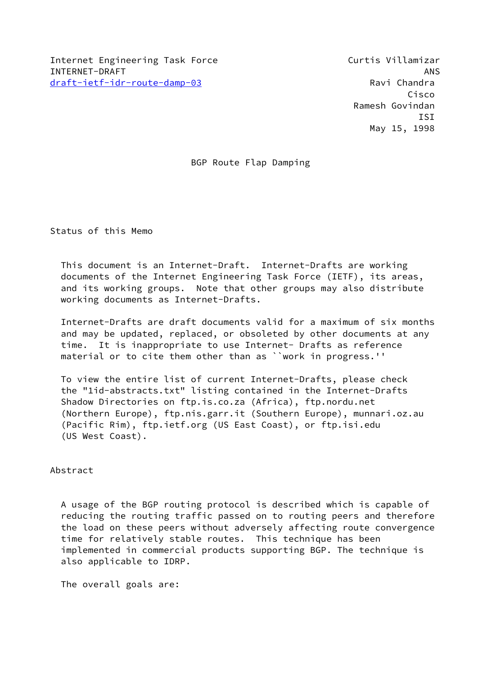BGP Route Flap Damping

Status of this Memo

 This document is an Internet-Draft. Internet-Drafts are working documents of the Internet Engineering Task Force (IETF), its areas, and its working groups. Note that other groups may also distribute working documents as Internet-Drafts.

 Internet-Drafts are draft documents valid for a maximum of six months and may be updated, replaced, or obsoleted by other documents at any time. It is inappropriate to use Internet- Drafts as reference material or to cite them other than as ``work in progress.''

 To view the entire list of current Internet-Drafts, please check the "1id-abstracts.txt" listing contained in the Internet-Drafts Shadow Directories on ftp.is.co.za (Africa), ftp.nordu.net (Northern Europe), ftp.nis.garr.it (Southern Europe), munnari.oz.au (Pacific Rim), ftp.ietf.org (US East Coast), or ftp.isi.edu (US West Coast).

## Abstract

 A usage of the BGP routing protocol is described which is capable of reducing the routing traffic passed on to routing peers and therefore the load on these peers without adversely affecting route convergence time for relatively stable routes. This technique has been implemented in commercial products supporting BGP. The technique is also applicable to IDRP.

The overall goals are: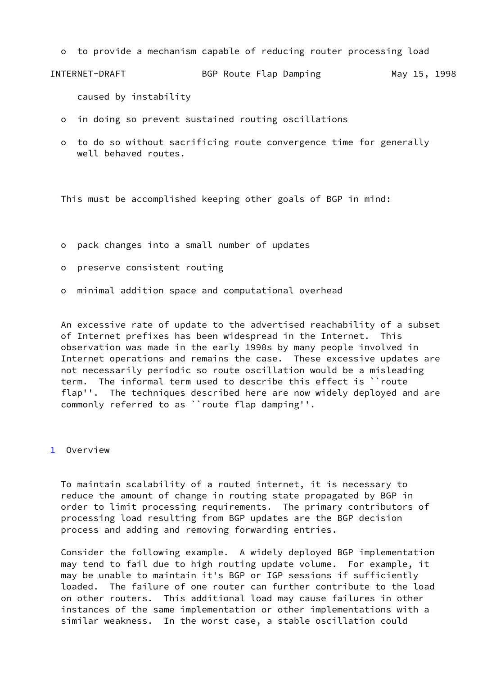o to provide a mechanism capable of reducing router processing load

```
INTERNET-DRAFT BGP Route Flap Damping May 15, 1998
```
caused by instability

- o in doing so prevent sustained routing oscillations
- o to do so without sacrificing route convergence time for generally well behaved routes.

This must be accomplished keeping other goals of BGP in mind:

- o pack changes into a small number of updates
- o preserve consistent routing
- o minimal addition space and computational overhead

 An excessive rate of update to the advertised reachability of a subset of Internet prefixes has been widespread in the Internet. This observation was made in the early 1990s by many people involved in Internet operations and remains the case. These excessive updates are not necessarily periodic so route oscillation would be a misleading term. The informal term used to describe this effect is ``route flap''. The techniques described here are now widely deployed and are commonly referred to as ``route flap damping''.

## <span id="page-1-0"></span>[1](#page-1-0) Overview

 To maintain scalability of a routed internet, it is necessary to reduce the amount of change in routing state propagated by BGP in order to limit processing requirements. The primary contributors of processing load resulting from BGP updates are the BGP decision process and adding and removing forwarding entries.

 Consider the following example. A widely deployed BGP implementation may tend to fail due to high routing update volume. For example, it may be unable to maintain it's BGP or IGP sessions if sufficiently loaded. The failure of one router can further contribute to the load on other routers. This additional load may cause failures in other instances of the same implementation or other implementations with a similar weakness. In the worst case, a stable oscillation could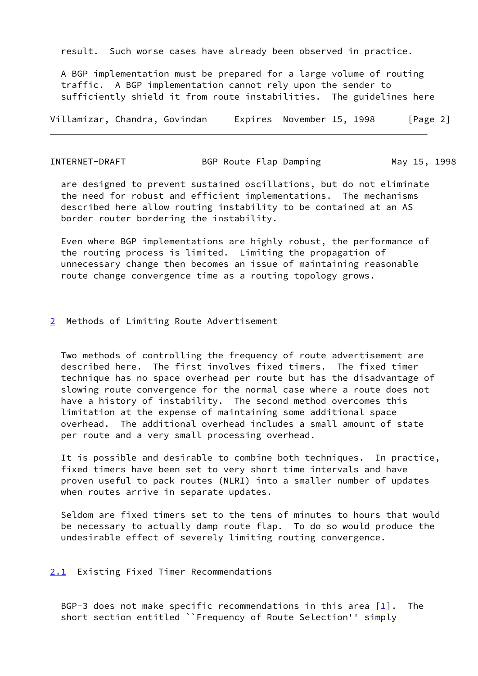result. Such worse cases have already been observed in practice.

 A BGP implementation must be prepared for a large volume of routing traffic. A BGP implementation cannot rely upon the sender to sufficiently shield it from route instabilities. The guidelines here

Villamizar, Chandra, Govindan Expires November 15, 1998 [Page 2]

INTERNET-DRAFT BGP Route Flap Damping May 15, 1998

 are designed to prevent sustained oscillations, but do not eliminate the need for robust and efficient implementations. The mechanisms described here allow routing instability to be contained at an AS border router bordering the instability.

 Even where BGP implementations are highly robust, the performance of the routing process is limited. Limiting the propagation of unnecessary change then becomes an issue of maintaining reasonable route change convergence time as a routing topology grows.

## <span id="page-2-0"></span>[2](#page-2-0) Methods of Limiting Route Advertisement

 Two methods of controlling the frequency of route advertisement are described here. The first involves fixed timers. The fixed timer technique has no space overhead per route but has the disadvantage of slowing route convergence for the normal case where a route does not have a history of instability. The second method overcomes this limitation at the expense of maintaining some additional space overhead. The additional overhead includes a small amount of state per route and a very small processing overhead.

 It is possible and desirable to combine both techniques. In practice, fixed timers have been set to very short time intervals and have proven useful to pack routes (NLRI) into a smaller number of updates when routes arrive in separate updates.

 Seldom are fixed timers set to the tens of minutes to hours that would be necessary to actually damp route flap. To do so would produce the undesirable effect of severely limiting routing convergence.

#### <span id="page-2-1"></span>[2.1](#page-2-1) Existing Fixed Timer Recommendations

BGP-3 does not make specific recommendations in this area  $[1]$ . The short section entitled ``Frequency of Route Selection'' simply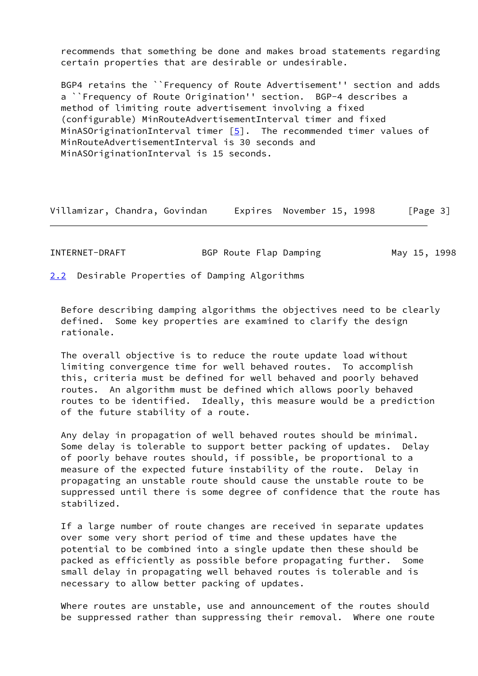recommends that something be done and makes broad statements regarding certain properties that are desirable or undesirable.

 BGP4 retains the ``Frequency of Route Advertisement'' section and adds a ``Frequency of Route Origination'' section. BGP-4 describes a method of limiting route advertisement involving a fixed (configurable) MinRouteAdvertisementInterval timer and fixed MinASOriginationInterval timer  $[5]$  $[5]$ . The recommended timer values of MinRouteAdvertisementInterval is 30 seconds and MinASOriginationInterval is 15 seconds.

| INTERNET-DRAFT | BGP Route Flap Damping |  |  | May 15, 1998 |
|----------------|------------------------|--|--|--------------|
|----------------|------------------------|--|--|--------------|

<span id="page-3-0"></span>[2.2](#page-3-0) Desirable Properties of Damping Algorithms

 Before describing damping algorithms the objectives need to be clearly defined. Some key properties are examined to clarify the design rationale.

 The overall objective is to reduce the route update load without limiting convergence time for well behaved routes. To accomplish this, criteria must be defined for well behaved and poorly behaved routes. An algorithm must be defined which allows poorly behaved routes to be identified. Ideally, this measure would be a prediction of the future stability of a route.

 Any delay in propagation of well behaved routes should be minimal. Some delay is tolerable to support better packing of updates. Delay of poorly behave routes should, if possible, be proportional to a measure of the expected future instability of the route. Delay in propagating an unstable route should cause the unstable route to be suppressed until there is some degree of confidence that the route has stabilized.

 If a large number of route changes are received in separate updates over some very short period of time and these updates have the potential to be combined into a single update then these should be packed as efficiently as possible before propagating further. Some small delay in propagating well behaved routes is tolerable and is necessary to allow better packing of updates.

 Where routes are unstable, use and announcement of the routes should be suppressed rather than suppressing their removal. Where one route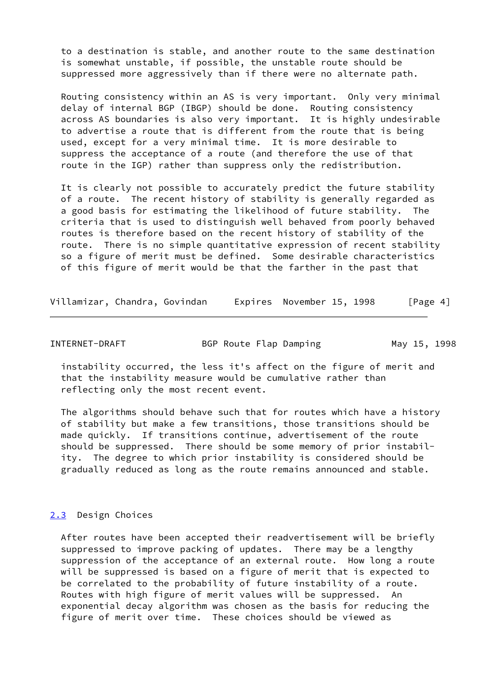to a destination is stable, and another route to the same destination is somewhat unstable, if possible, the unstable route should be suppressed more aggressively than if there were no alternate path.

 Routing consistency within an AS is very important. Only very minimal delay of internal BGP (IBGP) should be done. Routing consistency across AS boundaries is also very important. It is highly undesirable to advertise a route that is different from the route that is being used, except for a very minimal time. It is more desirable to suppress the acceptance of a route (and therefore the use of that route in the IGP) rather than suppress only the redistribution.

 It is clearly not possible to accurately predict the future stability of a route. The recent history of stability is generally regarded as a good basis for estimating the likelihood of future stability. The criteria that is used to distinguish well behaved from poorly behaved routes is therefore based on the recent history of stability of the route. There is no simple quantitative expression of recent stability so a figure of merit must be defined. Some desirable characteristics of this figure of merit would be that the farther in the past that

Villamizar, Chandra, Govindan Expires November 15, 1998 [Page 4]

INTERNET-DRAFT BGP Route Flap Damping May 15, 1998

 instability occurred, the less it's affect on the figure of merit and that the instability measure would be cumulative rather than reflecting only the most recent event.

 The algorithms should behave such that for routes which have a history of stability but make a few transitions, those transitions should be made quickly. If transitions continue, advertisement of the route should be suppressed. There should be some memory of prior instabil ity. The degree to which prior instability is considered should be gradually reduced as long as the route remains announced and stable.

## <span id="page-4-0"></span>[2.3](#page-4-0) Design Choices

 After routes have been accepted their readvertisement will be briefly suppressed to improve packing of updates. There may be a lengthy suppression of the acceptance of an external route. How long a route will be suppressed is based on a figure of merit that is expected to be correlated to the probability of future instability of a route. Routes with high figure of merit values will be suppressed. An exponential decay algorithm was chosen as the basis for reducing the figure of merit over time. These choices should be viewed as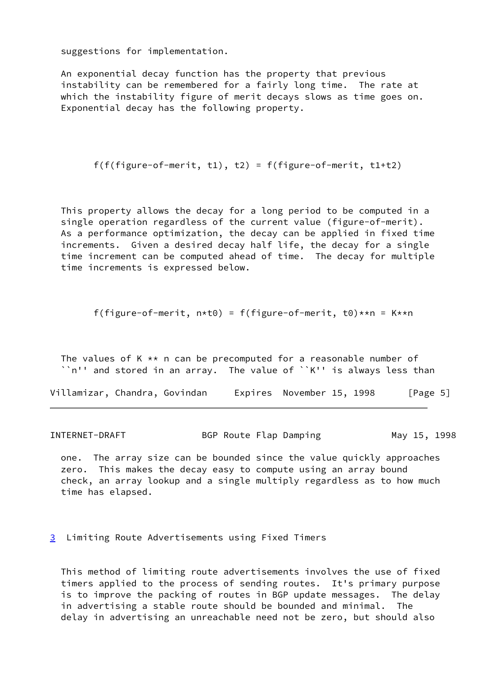suggestions for implementation.

 An exponential decay function has the property that previous instability can be remembered for a fairly long time. The rate at which the instability figure of merit decays slows as time goes on. Exponential decay has the following property.

```
f(f(figure-of-merit, t1), t2) = f(figure-of-merit, t1+t2)
```
 This property allows the decay for a long period to be computed in a single operation regardless of the current value (figure-of-merit). As a performance optimization, the decay can be applied in fixed time increments. Given a desired decay half life, the decay for a single time increment can be computed ahead of time. The decay for multiple time increments is expressed below.

f(figure-of-merit,  $n * t0$ ) = f(figure-of-merit, t0) $* n$  = K $* n$ 

The values of K  $**$  n can be precomputed for a reasonable number of ``n'' and stored in an array. The value of ``K'' is always less than

Villamizar, Chandra, Govindan Expires November 15, 1998 [Page 5]

INTERNET-DRAFT BGP Route Flap Damping May 15, 1998

 one. The array size can be bounded since the value quickly approaches zero. This makes the decay easy to compute using an array bound check, an array lookup and a single multiply regardless as to how much time has elapsed.

<span id="page-5-0"></span>[3](#page-5-0) Limiting Route Advertisements using Fixed Timers

 This method of limiting route advertisements involves the use of fixed timers applied to the process of sending routes. It's primary purpose is to improve the packing of routes in BGP update messages. The delay in advertising a stable route should be bounded and minimal. The delay in advertising an unreachable need not be zero, but should also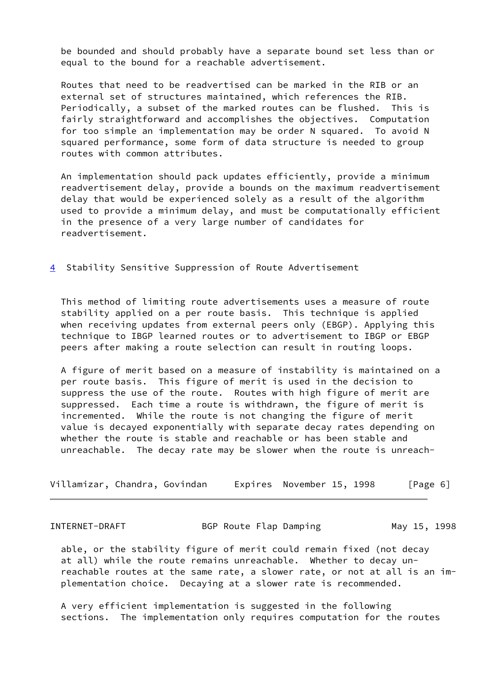be bounded and should probably have a separate bound set less than or equal to the bound for a reachable advertisement.

 Routes that need to be readvertised can be marked in the RIB or an external set of structures maintained, which references the RIB. Periodically, a subset of the marked routes can be flushed. This is fairly straightforward and accomplishes the objectives. Computation for too simple an implementation may be order N squared. To avoid N squared performance, some form of data structure is needed to group routes with common attributes.

 An implementation should pack updates efficiently, provide a minimum readvertisement delay, provide a bounds on the maximum readvertisement delay that would be experienced solely as a result of the algorithm used to provide a minimum delay, and must be computationally efficient in the presence of a very large number of candidates for readvertisement.

<span id="page-6-0"></span>[4](#page-6-0) Stability Sensitive Suppression of Route Advertisement

 This method of limiting route advertisements uses a measure of route stability applied on a per route basis. This technique is applied when receiving updates from external peers only (EBGP). Applying this technique to IBGP learned routes or to advertisement to IBGP or EBGP peers after making a route selection can result in routing loops.

 A figure of merit based on a measure of instability is maintained on a per route basis. This figure of merit is used in the decision to suppress the use of the route. Routes with high figure of merit are suppressed. Each time a route is withdrawn, the figure of merit is incremented. While the route is not changing the figure of merit value is decayed exponentially with separate decay rates depending on whether the route is stable and reachable or has been stable and unreachable. The decay rate may be slower when the route is unreach-

| Villamizar, Chandra, Govindan |  | Expires November 15, 1998 | [Page 6] |
|-------------------------------|--|---------------------------|----------|
|-------------------------------|--|---------------------------|----------|

INTERNET-DRAFT BGP Route Flap Damping May 15, 1998

 able, or the stability figure of merit could remain fixed (not decay at all) while the route remains unreachable. Whether to decay un reachable routes at the same rate, a slower rate, or not at all is an im plementation choice. Decaying at a slower rate is recommended.

 A very efficient implementation is suggested in the following sections. The implementation only requires computation for the routes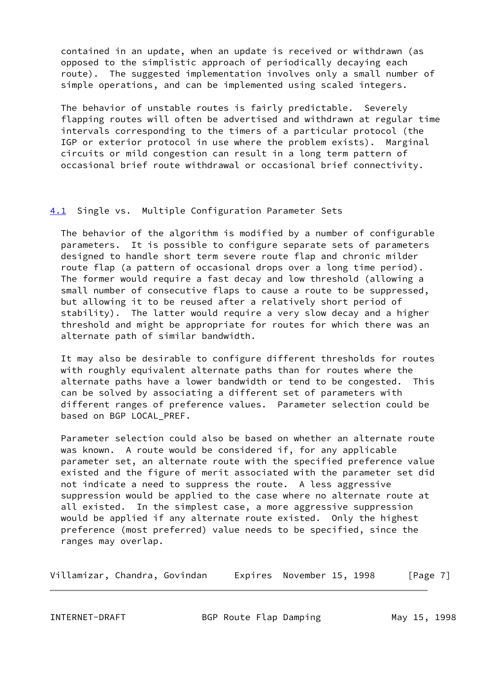contained in an update, when an update is received or withdrawn (as opposed to the simplistic approach of periodically decaying each route). The suggested implementation involves only a small number of simple operations, and can be implemented using scaled integers.

 The behavior of unstable routes is fairly predictable. Severely flapping routes will often be advertised and withdrawn at regular time intervals corresponding to the timers of a particular protocol (the IGP or exterior protocol in use where the problem exists). Marginal circuits or mild congestion can result in a long term pattern of occasional brief route withdrawal or occasional brief connectivity.

## <span id="page-7-0"></span>[4.1](#page-7-0) Single vs. Multiple Configuration Parameter Sets

 The behavior of the algorithm is modified by a number of configurable parameters. It is possible to configure separate sets of parameters designed to handle short term severe route flap and chronic milder route flap (a pattern of occasional drops over a long time period). The former would require a fast decay and low threshold (allowing a small number of consecutive flaps to cause a route to be suppressed, but allowing it to be reused after a relatively short period of stability). The latter would require a very slow decay and a higher threshold and might be appropriate for routes for which there was an alternate path of similar bandwidth.

 It may also be desirable to configure different thresholds for routes with roughly equivalent alternate paths than for routes where the alternate paths have a lower bandwidth or tend to be congested. This can be solved by associating a different set of parameters with different ranges of preference values. Parameter selection could be based on BGP LOCAL\_PREF.

 Parameter selection could also be based on whether an alternate route was known. A route would be considered if, for any applicable parameter set, an alternate route with the specified preference value existed and the figure of merit associated with the parameter set did not indicate a need to suppress the route. A less aggressive suppression would be applied to the case where no alternate route at all existed. In the simplest case, a more aggressive suppression would be applied if any alternate route existed. Only the highest preference (most preferred) value needs to be specified, since the ranges may overlap.

Villamizar, Chandra, Govindan Expires November 15, 1998 [Page 7]

INTERNET-DRAFT BGP Route Flap Damping May 15, 1998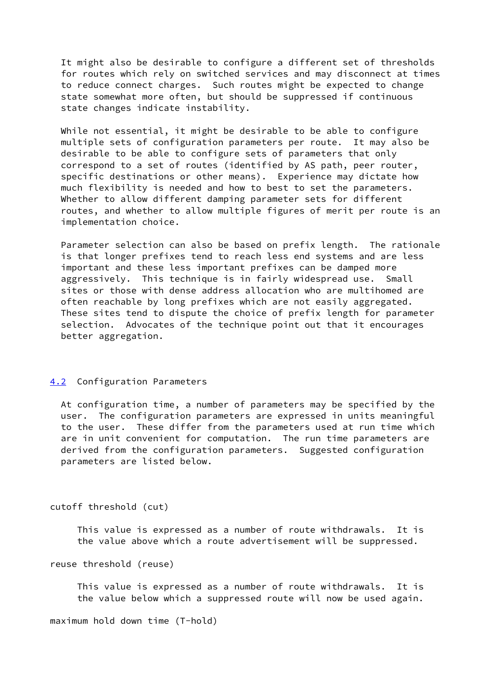It might also be desirable to configure a different set of thresholds for routes which rely on switched services and may disconnect at times to reduce connect charges. Such routes might be expected to change state somewhat more often, but should be suppressed if continuous state changes indicate instability.

 While not essential, it might be desirable to be able to configure multiple sets of configuration parameters per route. It may also be desirable to be able to configure sets of parameters that only correspond to a set of routes (identified by AS path, peer router, specific destinations or other means). Experience may dictate how much flexibility is needed and how to best to set the parameters. Whether to allow different damping parameter sets for different routes, and whether to allow multiple figures of merit per route is an implementation choice.

 Parameter selection can also be based on prefix length. The rationale is that longer prefixes tend to reach less end systems and are less important and these less important prefixes can be damped more aggressively. This technique is in fairly widespread use. Small sites or those with dense address allocation who are multihomed are often reachable by long prefixes which are not easily aggregated. These sites tend to dispute the choice of prefix length for parameter selection. Advocates of the technique point out that it encourages better aggregation.

#### <span id="page-8-0"></span>[4.2](#page-8-0) Configuration Parameters

 At configuration time, a number of parameters may be specified by the user. The configuration parameters are expressed in units meaningful to the user. These differ from the parameters used at run time which are in unit convenient for computation. The run time parameters are derived from the configuration parameters. Suggested configuration parameters are listed below.

### cutoff threshold (cut)

 This value is expressed as a number of route withdrawals. It is the value above which a route advertisement will be suppressed.

```
reuse threshold (reuse)
```
 This value is expressed as a number of route withdrawals. It is the value below which a suppressed route will now be used again.

maximum hold down time (T-hold)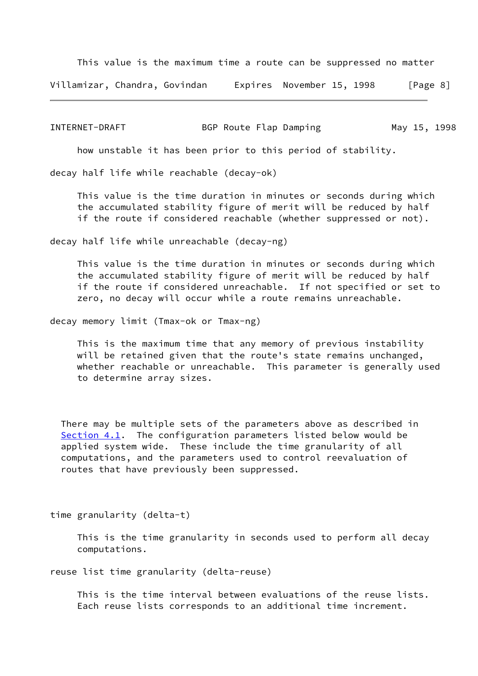This value is the maximum time a route can be suppressed no matter

Villamizar, Chandra, Govindan Expires November 15, 1998 [Page 8]

INTERNET-DRAFT BGP Route Flap Damping May 15, 1998

how unstable it has been prior to this period of stability.

decay half life while reachable (decay-ok)

 This value is the time duration in minutes or seconds during which the accumulated stability figure of merit will be reduced by half if the route if considered reachable (whether suppressed or not).

decay half life while unreachable (decay-ng)

 This value is the time duration in minutes or seconds during which the accumulated stability figure of merit will be reduced by half if the route if considered unreachable. If not specified or set to zero, no decay will occur while a route remains unreachable.

decay memory limit (Tmax-ok or Tmax-ng)

 This is the maximum time that any memory of previous instability will be retained given that the route's state remains unchanged, whether reachable or unreachable. This parameter is generally used to determine array sizes.

 There may be multiple sets of the parameters above as described in [Section 4.1](#page-7-0). The configuration parameters listed below would be applied system wide. These include the time granularity of all computations, and the parameters used to control reevaluation of routes that have previously been suppressed.

time granularity (delta-t)

 This is the time granularity in seconds used to perform all decay computations.

reuse list time granularity (delta-reuse)

 This is the time interval between evaluations of the reuse lists. Each reuse lists corresponds to an additional time increment.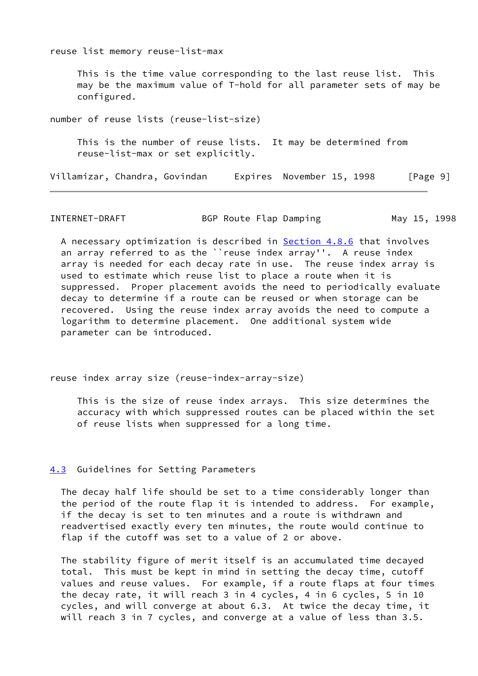reuse list memory reuse-list-max

 This is the time value corresponding to the last reuse list. This may be the maximum value of T-hold for all parameter sets of may be configured.

number of reuse lists (reuse-list-size) This is the number of reuse lists. It may be determined from reuse-list-max or set explicitly.

Villamizar, Chandra, Govindan Expires November 15, 1998 [Page 9]

INTERNET-DRAFT 6 BGP Route Flap Damping 6 May 15, 1998

 A necessary optimization is described in [Section 4.8.6](#page-31-0) that involves an array referred to as the ``reuse index array''. A reuse index array is needed for each decay rate in use. The reuse index array is used to estimate which reuse list to place a route when it is suppressed. Proper placement avoids the need to periodically evaluate decay to determine if a route can be reused or when storage can be recovered. Using the reuse index array avoids the need to compute a logarithm to determine placement. One additional system wide parameter can be introduced.

reuse index array size (reuse-index-array-size)

 This is the size of reuse index arrays. This size determines the accuracy with which suppressed routes can be placed within the set of reuse lists when suppressed for a long time.

### <span id="page-10-0"></span>[4.3](#page-10-0) Guidelines for Setting Parameters

 The decay half life should be set to a time considerably longer than the period of the route flap it is intended to address. For example, if the decay is set to ten minutes and a route is withdrawn and readvertised exactly every ten minutes, the route would continue to flap if the cutoff was set to a value of 2 or above.

 The stability figure of merit itself is an accumulated time decayed total. This must be kept in mind in setting the decay time, cutoff values and reuse values. For example, if a route flaps at four times the decay rate, it will reach 3 in 4 cycles, 4 in 6 cycles, 5 in 10 cycles, and will converge at about 6.3. At twice the decay time, it will reach 3 in 7 cycles, and converge at a value of less than 3.5.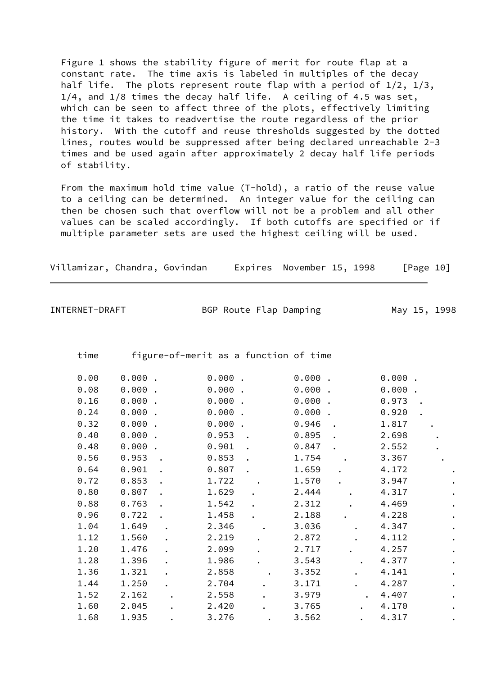Figure 1 shows the stability figure of merit for route flap at a constant rate. The time axis is labeled in multiples of the decay half life. The plots represent route flap with a period of 1/2, 1/3, 1/4, and 1/8 times the decay half life. A ceiling of 4.5 was set, which can be seen to affect three of the plots, effectively limiting the time it takes to readvertise the route regardless of the prior history. With the cutoff and reuse thresholds suggested by the dotted lines, routes would be suppressed after being declared unreachable 2-3 times and be used again after approximately 2 decay half life periods of stability.

 From the maximum hold time value (T-hold), a ratio of the reuse value to a ceiling can be determined. An integer value for the ceiling can then be chosen such that overflow will not be a problem and all other values can be scaled accordingly. If both cutoffs are specified or if multiple parameter sets are used the highest ceiling will be used.

| Villamizar, Chandra, Govindan |  |  |  |  | Expires November 15, 1998 | [Page 10] |
|-------------------------------|--|--|--|--|---------------------------|-----------|
|-------------------------------|--|--|--|--|---------------------------|-----------|

INTERNET-DRAFT BGP Route Flap Damping May 15, 1998

time figure-of-merit as a function of time

| 0.00 | 0.000 |           | 0.000 | 0.000 |           | 0.000 |           |
|------|-------|-----------|-------|-------|-----------|-------|-----------|
| 0.08 | 0.000 |           | 0.000 | 0.000 |           | 0.000 |           |
| 0.16 | 0.000 |           | 0.000 | 0.000 |           | 0.973 |           |
| 0.24 | 0.000 |           | 0.000 | 0.000 |           | 0.920 |           |
| 0.32 | 0.000 |           | 0.000 | 0.946 |           | 1.817 |           |
| 0.40 | 0.000 |           | 0.953 | 0.895 |           | 2.698 |           |
| 0.48 | 0.000 |           | 0.901 | 0.847 |           | 2.552 |           |
| 0.56 | 0.953 |           | 0.853 | 1.754 |           | 3.367 |           |
| 0.64 | 0.901 |           | 0.807 | 1.659 |           | 4.172 |           |
| 0.72 | 0.853 |           | 1.722 | 1.570 |           | 3.947 |           |
| 0.80 | 0.807 |           | 1.629 | 2.444 |           | 4.317 |           |
| 0.88 | 0.763 |           | 1.542 | 2.312 |           | 4.469 |           |
| 0.96 | 0.722 |           | 1.458 | 2.188 |           | 4.228 | $\bullet$ |
| 1.04 | 1.649 |           | 2.346 | 3.036 |           | 4.347 |           |
| 1.12 | 1.560 |           | 2.219 | 2.872 |           | 4.112 |           |
| 1.20 | 1.476 | $\bullet$ | 2.099 | 2.717 |           | 4.257 | $\bullet$ |
| 1.28 | 1.396 |           | 1.986 | 3.543 |           | 4.377 |           |
| 1.36 | 1.321 |           | 2.858 | 3.352 |           | 4.141 |           |
| 1.44 | 1.250 |           | 2.704 | 3.171 |           | 4.287 |           |
| 1.52 | 2.162 |           | 2.558 | 3.979 |           | 4.407 |           |
| 1.60 | 2.045 |           | 2.420 | 3.765 | $\bullet$ | 4.170 | $\bullet$ |
| 1.68 | 1.935 |           | 3.276 | 3.562 |           | 4.317 |           |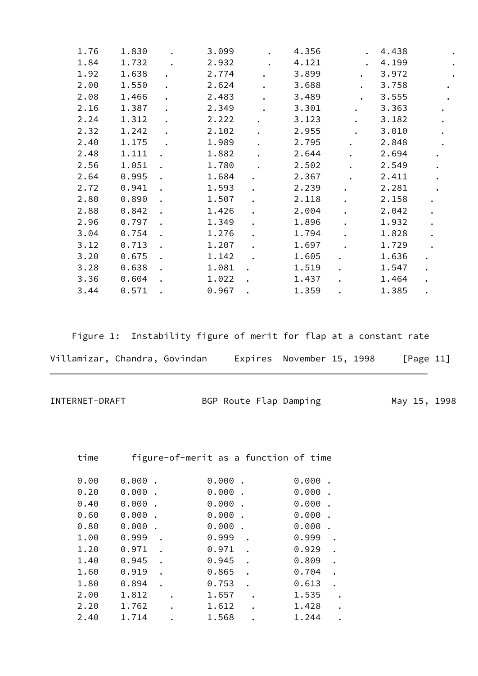| 1.76 | 1.830 |                      | 3.099 |                      | 4.356 | $\ddot{\phantom{0}}$ | 4.438 | $\bullet$            |
|------|-------|----------------------|-------|----------------------|-------|----------------------|-------|----------------------|
| 1.84 | 1.732 |                      | 2.932 |                      | 4.121 |                      | 4.199 | $\bullet$            |
| 1.92 | 1.638 | $\bullet$            | 2.774 | $\bullet$            | 3.899 | $\ddot{\phantom{0}}$ | 3.972 |                      |
| 2.00 | 1.550 |                      | 2.624 |                      | 3.688 | $\bullet$            | 3.758 | $\bullet$            |
| 2.08 | 1.466 | $\ddot{\phantom{a}}$ | 2.483 | $\ddot{\phantom{0}}$ | 3.489 | $\bullet$            | 3.555 | $\bullet$            |
| 2.16 | 1.387 |                      | 2.349 |                      | 3.301 | $\bullet$            | 3.363 |                      |
| 2.24 | 1.312 |                      | 2.222 |                      | 3.123 | $\ddot{\phantom{a}}$ | 3.182 | $\bullet$            |
| 2.32 | 1.242 |                      | 2.102 | $\ddot{\phantom{a}}$ | 2.955 |                      | 3.010 | $\bullet$            |
| 2.40 | 1.175 |                      | 1.989 | $\ddot{\phantom{0}}$ | 2.795 | $\bullet$            | 2.848 | $\bullet$            |
| 2.48 | 1.111 |                      | 1.882 | $\ddot{\phantom{0}}$ | 2.644 | $\ddot{\phantom{a}}$ | 2.694 | $\bullet$            |
| 2.56 | 1.051 |                      | 1.780 |                      | 2.502 |                      | 2.549 | $\bullet$            |
| 2.64 | 0.995 |                      | 1.684 | $\bullet$            | 2.367 |                      | 2.411 | $\bullet$            |
| 2.72 | 0.941 | $\ddot{\phantom{a}}$ | 1.593 | $\bullet$            | 2.239 |                      | 2.281 | $\bullet$            |
| 2.80 | 0.890 |                      | 1.507 | $\bullet$            | 2.118 |                      | 2.158 |                      |
| 2.88 | 0.842 |                      | 1.426 | $\bullet$            | 2.004 | $\ddot{\phantom{0}}$ | 2.042 | $\bullet$            |
| 2.96 | 0.797 |                      | 1.349 |                      | 1.896 | $\ddot{\phantom{0}}$ | 1.932 |                      |
| 3.04 | 0.754 |                      | 1.276 |                      | 1.794 |                      | 1.828 | $\bullet$            |
| 3.12 | 0.713 |                      | 1.207 | $\bullet$            | 1.697 |                      | 1.729 |                      |
| 3.20 | 0.675 |                      | 1.142 |                      | 1.605 | $\bullet$            | 1.636 | $\bullet$            |
| 3.28 | 0.638 |                      | 1.081 |                      | 1.519 |                      | 1.547 | $\bullet$            |
| 3.36 | 0.604 |                      | 1.022 |                      | 1.437 |                      | 1.464 | $\ddot{\phantom{a}}$ |
| 3.44 | 0.571 |                      | 0.967 |                      | 1.359 |                      | 1.385 | $\bullet$            |

Figure 1: Instability figure of merit for flap at a constant rate

| Villamizar, Chandra, Govindan |  | Expires November 15, 1998 | [Page 11] |
|-------------------------------|--|---------------------------|-----------|
|                               |  |                           |           |

INTERNET-DRAFT BGP Route Flap Damping May 15, 1998

time figure-of-merit as a function of time

| 0.00 | 0.000 |  | 0.000 | 0.000 |  |
|------|-------|--|-------|-------|--|
| 0.20 | 0.000 |  | 0.000 | 0.000 |  |
| 0.40 | 0.000 |  | 0.000 | 0.000 |  |
| 0.60 | 0.000 |  | 0.000 | 0.000 |  |
| 0.80 | 0.000 |  | 0.000 | 0.000 |  |
| 1.00 | 0.999 |  | 0.999 | 0.999 |  |
| 1.20 | 0.971 |  | 0.971 | 0.929 |  |
| 1.40 | 0.945 |  | 0.945 | 0.809 |  |
| 1.60 | 0.919 |  | 0.865 | 0.704 |  |
| 1.80 | 0.894 |  | 0.753 | 0.613 |  |
| 2.00 | 1.812 |  | 1.657 | 1.535 |  |
| 2.20 | 1.762 |  | 1.612 | 1.428 |  |
| 2.40 | 1.714 |  | 1.568 | 1.244 |  |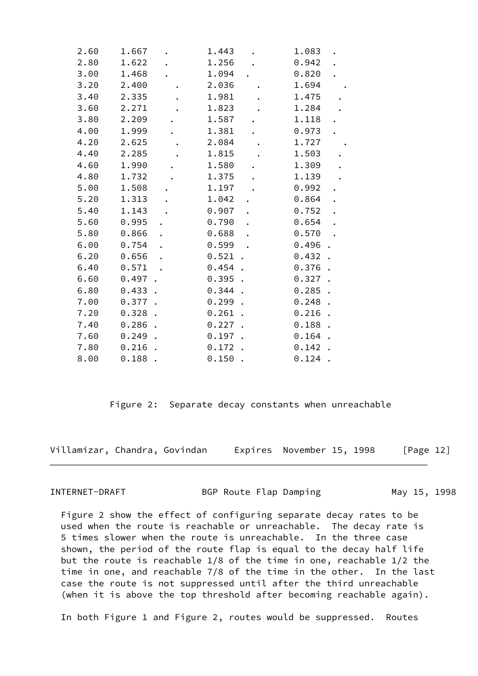| 2.60 | 1.667     | 1.443     | 1.083 | $\bullet$ |
|------|-----------|-----------|-------|-----------|
| 2.80 | 1.622     | 1.256     | 0.942 |           |
| 3.00 | 1.468     | 1.094     | 0.820 |           |
| 3.20 | 2.400     | 2.036     | 1.694 |           |
| 3.40 | 2.335     | 1.981     | 1.475 |           |
| 3.60 | 2.271     | 1.823     | 1.284 |           |
| 3.80 | 2.209     | 1.587     | 1.118 |           |
| 4.00 | 1.999     | 1.381     | 0.973 |           |
| 4.20 | 2.625     | 2.084     | 1.727 |           |
| 4.40 | 2.285     | 1.815     | 1.503 |           |
| 4.60 | 1.990     | 1.580     | 1.309 |           |
| 4.80 | 1.732     | 1.375     | 1.139 |           |
| 5.00 | 1.508     | 1.197     | 0.992 |           |
| 5.20 | 1.313     | 1.042     | 0.864 |           |
| 5.40 | 1.143     | 0.907     | 0.752 |           |
| 5.60 | 0.995     | 0.790     | 0.654 |           |
| 5.80 | 0.866     | 0.688     | 0.570 |           |
| 6.00 | 0.754     | 0.599     | 0.496 |           |
| 6.20 | 0.656     | 0.521     | 0.432 |           |
| 6.40 | 0.571     | 0.454     | 0.376 |           |
| 6.60 | $0.497$ . | $0.395$ . | 0.327 |           |
| 6.80 | 0.433     | 0.344     | 0.285 |           |
| 7.00 | 0.377     | 0.299     | 0.248 |           |
| 7.20 | $0.328$ . | 0.261     | 0.216 |           |
| 7.40 | 0.286     | 0.227     | 0.188 |           |
| 7.60 | 0.249     | 0.197     | 0.164 |           |
| 7.80 | 0.216     | 0.172     | 0.142 |           |
| 8.00 | 0.188     | 0.150     | 0.124 |           |

Figure 2: Separate decay constants when unreachable

Villamizar, Chandra, Govindan Expires November 15, 1998 [Page 12]

INTERNET-DRAFT BGP Route Flap Damping May 15, 1998

 Figure 2 show the effect of configuring separate decay rates to be used when the route is reachable or unreachable. The decay rate is 5 times slower when the route is unreachable. In the three case shown, the period of the route flap is equal to the decay half life but the route is reachable 1/8 of the time in one, reachable 1/2 the time in one, and reachable 7/8 of the time in the other. In the last case the route is not suppressed until after the third unreachable (when it is above the top threshold after becoming reachable again).

In both Figure 1 and Figure 2, routes would be suppressed. Routes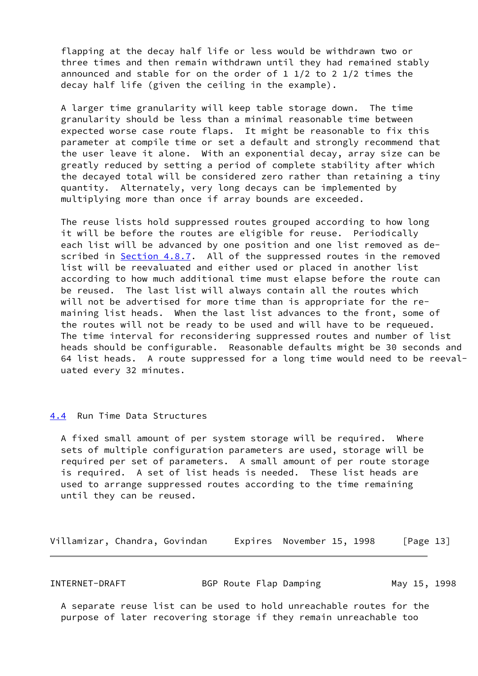flapping at the decay half life or less would be withdrawn two or three times and then remain withdrawn until they had remained stably announced and stable for on the order of 1 1/2 to 2 1/2 times the decay half life (given the ceiling in the example).

 A larger time granularity will keep table storage down. The time granularity should be less than a minimal reasonable time between expected worse case route flaps. It might be reasonable to fix this parameter at compile time or set a default and strongly recommend that the user leave it alone. With an exponential decay, array size can be greatly reduced by setting a period of complete stability after which the decayed total will be considered zero rather than retaining a tiny quantity. Alternately, very long decays can be implemented by multiplying more than once if array bounds are exceeded.

 The reuse lists hold suppressed routes grouped according to how long it will be before the routes are eligible for reuse. Periodically each list will be advanced by one position and one list removed as de- scribed in [Section 4.8.7.](#page-32-0) All of the suppressed routes in the removed list will be reevaluated and either used or placed in another list according to how much additional time must elapse before the route can be reused. The last list will always contain all the routes which will not be advertised for more time than is appropriate for the re maining list heads. When the last list advances to the front, some of the routes will not be ready to be used and will have to be requeued. The time interval for reconsidering suppressed routes and number of list heads should be configurable. Reasonable defaults might be 30 seconds and 64 list heads. A route suppressed for a long time would need to be reeval uated every 32 minutes.

#### <span id="page-14-0"></span>[4.4](#page-14-0) Run Time Data Structures

 A fixed small amount of per system storage will be required. Where sets of multiple configuration parameters are used, storage will be required per set of parameters. A small amount of per route storage is required. A set of list heads is needed. These list heads are used to arrange suppressed routes according to the time remaining until they can be reused.

Villamizar, Chandra, Govindan Expires November 15, 1998 [Page 13]

INTERNET-DRAFT BGP Route Flap Damping May 15, 1998

 A separate reuse list can be used to hold unreachable routes for the purpose of later recovering storage if they remain unreachable too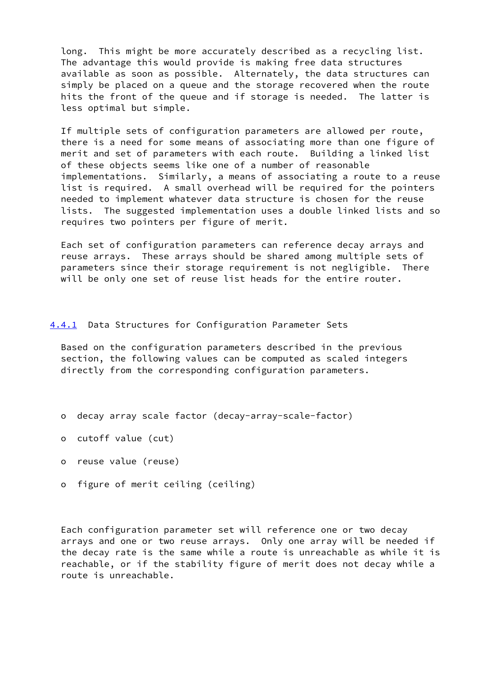long. This might be more accurately described as a recycling list. The advantage this would provide is making free data structures available as soon as possible. Alternately, the data structures can simply be placed on a queue and the storage recovered when the route hits the front of the queue and if storage is needed. The latter is less optimal but simple.

 If multiple sets of configuration parameters are allowed per route, there is a need for some means of associating more than one figure of merit and set of parameters with each route. Building a linked list of these objects seems like one of a number of reasonable implementations. Similarly, a means of associating a route to a reuse list is required. A small overhead will be required for the pointers needed to implement whatever data structure is chosen for the reuse lists. The suggested implementation uses a double linked lists and so requires two pointers per figure of merit.

 Each set of configuration parameters can reference decay arrays and reuse arrays. These arrays should be shared among multiple sets of parameters since their storage requirement is not negligible. There will be only one set of reuse list heads for the entire router.

## <span id="page-15-0"></span>[4.4.1](#page-15-0) Data Structures for Configuration Parameter Sets

 Based on the configuration parameters described in the previous section, the following values can be computed as scaled integers directly from the corresponding configuration parameters.

- o decay array scale factor (decay-array-scale-factor)
- o cutoff value (cut)
- o reuse value (reuse)
- o figure of merit ceiling (ceiling)

 Each configuration parameter set will reference one or two decay arrays and one or two reuse arrays. Only one array will be needed if the decay rate is the same while a route is unreachable as while it is reachable, or if the stability figure of merit does not decay while a route is unreachable.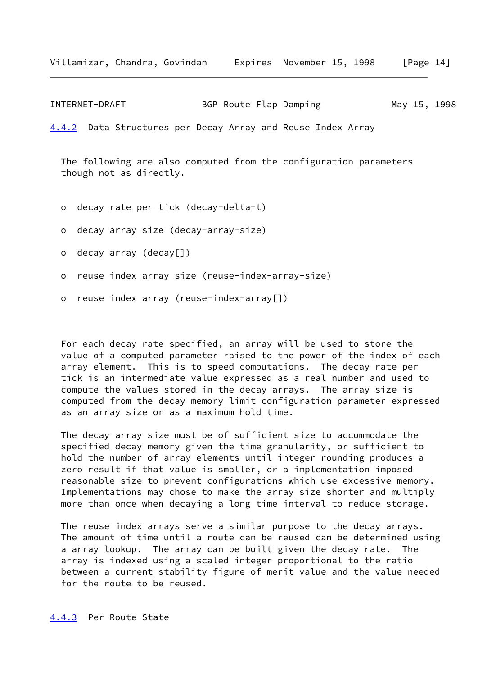INTERNET-DRAFT BGP Route Flap Damping May 15, 1998

<span id="page-16-0"></span>[4.4.2](#page-16-0) Data Structures per Decay Array and Reuse Index Array

 The following are also computed from the configuration parameters though not as directly.

- o decay rate per tick (decay-delta-t)
- o decay array size (decay-array-size)
- o decay array (decay[])
- o reuse index array size (reuse-index-array-size)
- o reuse index array (reuse-index-array[])

 For each decay rate specified, an array will be used to store the value of a computed parameter raised to the power of the index of each array element. This is to speed computations. The decay rate per tick is an intermediate value expressed as a real number and used to compute the values stored in the decay arrays. The array size is computed from the decay memory limit configuration parameter expressed as an array size or as a maximum hold time.

 The decay array size must be of sufficient size to accommodate the specified decay memory given the time granularity, or sufficient to hold the number of array elements until integer rounding produces a zero result if that value is smaller, or a implementation imposed reasonable size to prevent configurations which use excessive memory. Implementations may chose to make the array size shorter and multiply more than once when decaying a long time interval to reduce storage.

<span id="page-16-1"></span> The reuse index arrays serve a similar purpose to the decay arrays. The amount of time until a route can be reused can be determined using a array lookup. The array can be built given the decay rate. The array is indexed using a scaled integer proportional to the ratio between a current stability figure of merit value and the value needed for the route to be reused.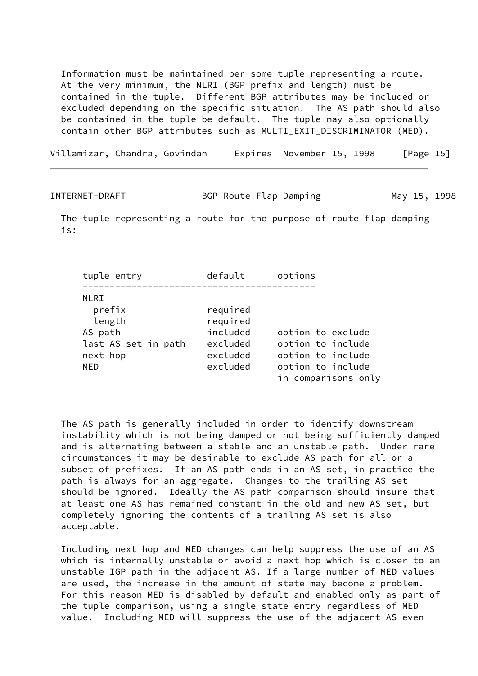Information must be maintained per some tuple representing a route. At the very minimum, the NLRI (BGP prefix and length) must be contained in the tuple. Different BGP attributes may be included or excluded depending on the specific situation. The AS path should also be contained in the tuple be default. The tuple may also optionally contain other BGP attributes such as MULTI\_EXIT\_DISCRIMINATOR (MED).

Villamizar, Chandra, Govindan Expires November 15, 1998 [Page 15]

INTERNET-DRAFT BGP Route Flap Damping May 15, 1998

 The tuple representing a route for the purpose of route flap damping is:

 tuple entry default options ------------------------------------------- NLRI prefix required length required AS path included option to exclude last AS set in path excluded option to include next hop excluded option to include MED excluded option to include in comparisons only

 The AS path is generally included in order to identify downstream instability which is not being damped or not being sufficiently damped and is alternating between a stable and an unstable path. Under rare circumstances it may be desirable to exclude AS path for all or a subset of prefixes. If an AS path ends in an AS set, in practice the path is always for an aggregate. Changes to the trailing AS set should be ignored. Ideally the AS path comparison should insure that at least one AS has remained constant in the old and new AS set, but completely ignoring the contents of a trailing AS set is also acceptable.

 Including next hop and MED changes can help suppress the use of an AS which is internally unstable or avoid a next hop which is closer to an unstable IGP path in the adjacent AS. If a large number of MED values are used, the increase in the amount of state may become a problem. For this reason MED is disabled by default and enabled only as part of the tuple comparison, using a single state entry regardless of MED value. Including MED will suppress the use of the adjacent AS even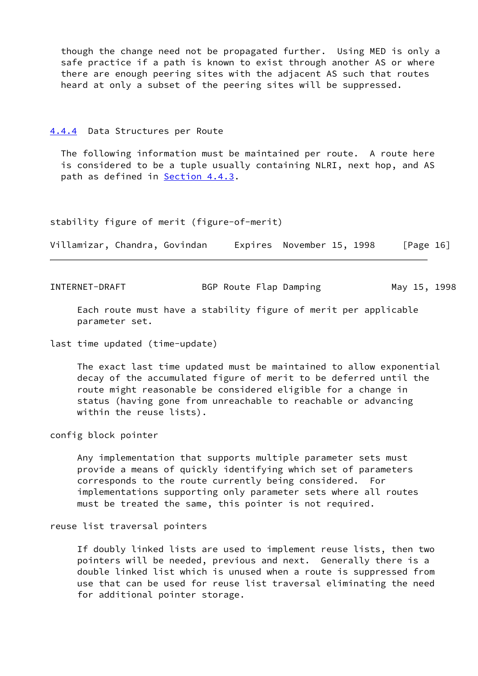though the change need not be propagated further. Using MED is only a safe practice if a path is known to exist through another AS or where there are enough peering sites with the adjacent AS such that routes heard at only a subset of the peering sites will be suppressed.

#### <span id="page-18-0"></span>[4.4.4](#page-18-0) Data Structures per Route

 The following information must be maintained per route. A route here is considered to be a tuple usually containing NLRI, next hop, and AS path as defined in [Section 4.4.3.](#page-16-1)

#### stability figure of merit (figure-of-merit)

Villamizar, Chandra, Govindan Expires November 15, 1998 [Page 16]

INTERNET-DRAFT BGP Route Flap Damping May 15, 1998

 Each route must have a stability figure of merit per applicable parameter set.

last time updated (time-update)

 The exact last time updated must be maintained to allow exponential decay of the accumulated figure of merit to be deferred until the route might reasonable be considered eligible for a change in status (having gone from unreachable to reachable or advancing within the reuse lists).

config block pointer

 Any implementation that supports multiple parameter sets must provide a means of quickly identifying which set of parameters corresponds to the route currently being considered. For implementations supporting only parameter sets where all routes must be treated the same, this pointer is not required.

## reuse list traversal pointers

 If doubly linked lists are used to implement reuse lists, then two pointers will be needed, previous and next. Generally there is a double linked list which is unused when a route is suppressed from use that can be used for reuse list traversal eliminating the need for additional pointer storage.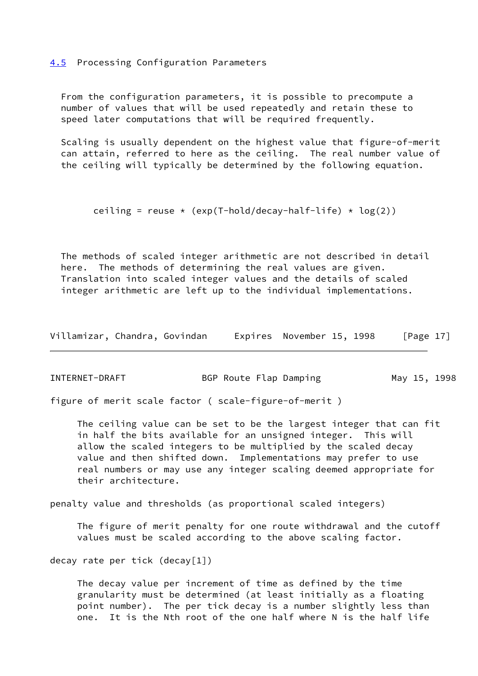<span id="page-19-0"></span>[4.5](#page-19-0) Processing Configuration Parameters

 From the configuration parameters, it is possible to precompute a number of values that will be used repeatedly and retain these to speed later computations that will be required frequently.

 Scaling is usually dependent on the highest value that figure-of-merit can attain, referred to here as the ceiling. The real number value of the ceiling will typically be determined by the following equation.

```
ceiling = reuse \star (exp(T-hold/decay-half-life) \star log(2))
```
 The methods of scaled integer arithmetic are not described in detail here. The methods of determining the real values are given. Translation into scaled integer values and the details of scaled integer arithmetic are left up to the individual implementations.

| Villamizar, Chandra, Govindan |  |  |  |  | Expires November 15, 1998 | [Page $17$ ] |
|-------------------------------|--|--|--|--|---------------------------|--------------|
|-------------------------------|--|--|--|--|---------------------------|--------------|

| INTERNET-DRAFT | BGP Route Flap Damping |  |  | May 15, 1998 |
|----------------|------------------------|--|--|--------------|
|----------------|------------------------|--|--|--------------|

figure of merit scale factor ( scale-figure-of-merit )

 The ceiling value can be set to be the largest integer that can fit in half the bits available for an unsigned integer. This will allow the scaled integers to be multiplied by the scaled decay value and then shifted down. Implementations may prefer to use real numbers or may use any integer scaling deemed appropriate for their architecture.

penalty value and thresholds (as proportional scaled integers)

 The figure of merit penalty for one route withdrawal and the cutoff values must be scaled according to the above scaling factor.

decay rate per tick (decay[1])

 The decay value per increment of time as defined by the time granularity must be determined (at least initially as a floating point number). The per tick decay is a number slightly less than one. It is the Nth root of the one half where N is the half life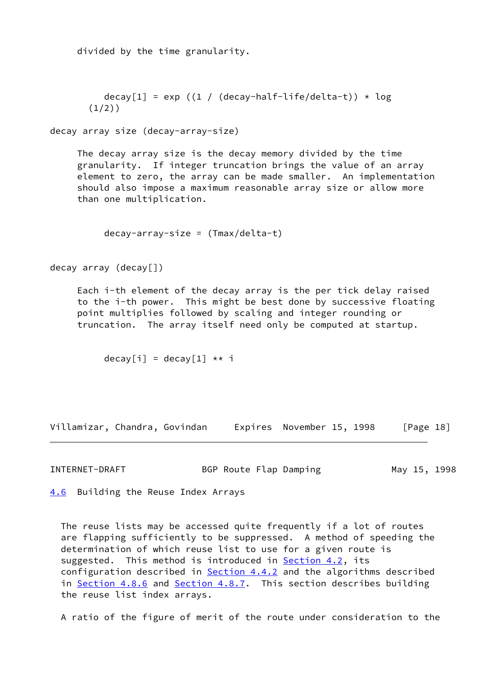divided by the time granularity.

```
decay[1] = exp ((1 / (decay-half-life/delta-t)) \star log
(1/2)
```
decay array size (decay-array-size)

 The decay array size is the decay memory divided by the time granularity. If integer truncation brings the value of an array element to zero, the array can be made smaller. An implementation should also impose a maximum reasonable array size or allow more than one multiplication.

decay-array-size = (Tmax/delta-t)

decay array (decay[])

 Each i-th element of the decay array is the per tick delay raised to the i-th power. This might be best done by successive floating point multiplies followed by scaling and integer rounding or truncation. The array itself need only be computed at startup.

 $decay[i] = decay[1] ** i$ 

Villamizar, Chandra, Govindan Expires November 15, 1998 [Page 18]

INTERNET-DRAFT BGP Route Flap Damping May 15, 1998

<span id="page-20-0"></span>[4.6](#page-20-0) Building the Reuse Index Arrays

 The reuse lists may be accessed quite frequently if a lot of routes are flapping sufficiently to be suppressed. A method of speeding the determination of which reuse list to use for a given route is suggested. This method is introduced in [Section 4.2](#page-8-0), its configuration described in **Section 4.4.2** and the algorithms described in [Section 4.8.6](#page-31-0) and [Section 4.8.7.](#page-32-0) This section describes building the reuse list index arrays.

A ratio of the figure of merit of the route under consideration to the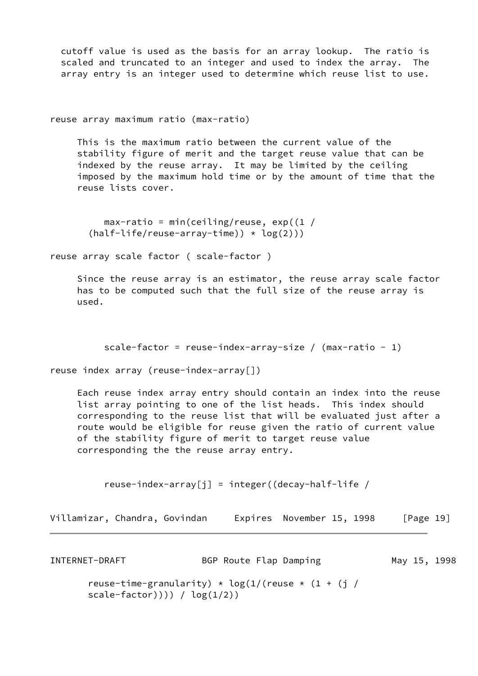cutoff value is used as the basis for an array lookup. The ratio is scaled and truncated to an integer and used to index the array. The array entry is an integer used to determine which reuse list to use.

reuse array maximum ratio (max-ratio)

 This is the maximum ratio between the current value of the stability figure of merit and the target reuse value that can be indexed by the reuse array. It may be limited by the ceiling imposed by the maximum hold time or by the amount of time that the reuse lists cover.

 $max-ratio = min(ceiling/reuse, exp((1 /$  $(half-life/reuse-array-time)) * log(2))$ 

reuse array scale factor ( scale-factor )

 Since the reuse array is an estimator, the reuse array scale factor has to be computed such that the full size of the reuse array is used.

```
scale-factor = reuse-index-array-size / (max-ratio - 1)
```
reuse index array (reuse-index-array[])

 Each reuse index array entry should contain an index into the reuse list array pointing to one of the list heads. This index should corresponding to the reuse list that will be evaluated just after a route would be eligible for reuse given the ratio of current value of the stability figure of merit to target reuse value corresponding the the reuse array entry.

reuse-index-array[j] = integer((decay-half-life /

INTERNET-DRAFT BGP Route Flap Damping May 15, 1998 reuse-time-granularity)  $\star$  log(1/(reuse  $\star$  (1 + (j / scale-factor)))) /  $\log(1/2)$ )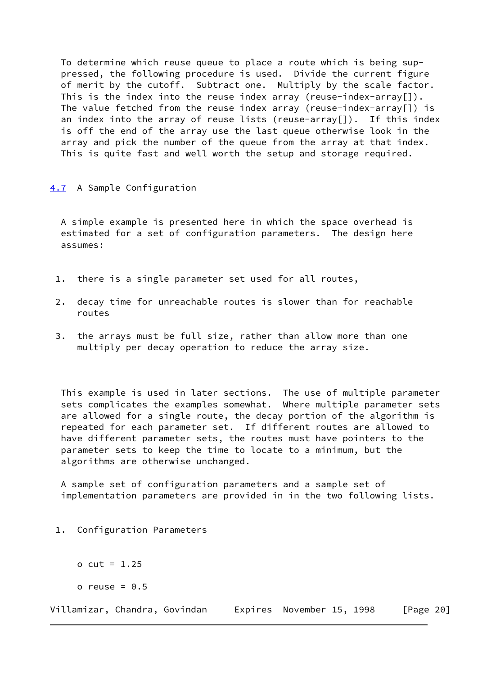To determine which reuse queue to place a route which is being sup pressed, the following procedure is used. Divide the current figure of merit by the cutoff. Subtract one. Multiply by the scale factor. This is the index into the reuse index array (reuse-index-array[]). The value fetched from the reuse index array (reuse-index-array[]) is an index into the array of reuse lists (reuse-array<sup>[]</sup>). If this index is off the end of the array use the last queue otherwise look in the array and pick the number of the queue from the array at that index. This is quite fast and well worth the setup and storage required.

## <span id="page-22-0"></span>[4.7](#page-22-0) A Sample Configuration

 A simple example is presented here in which the space overhead is estimated for a set of configuration parameters. The design here assumes:

- 1. there is a single parameter set used for all routes,
- 2. decay time for unreachable routes is slower than for reachable routes
- 3. the arrays must be full size, rather than allow more than one multiply per decay operation to reduce the array size.

 This example is used in later sections. The use of multiple parameter sets complicates the examples somewhat. Where multiple parameter sets are allowed for a single route, the decay portion of the algorithm is repeated for each parameter set. If different routes are allowed to have different parameter sets, the routes must have pointers to the parameter sets to keep the time to locate to a minimum, but the algorithms are otherwise unchanged.

 A sample set of configuration parameters and a sample set of implementation parameters are provided in in the two following lists.

- 1. Configuration Parameters
	- o cut = 1.25
	- o reuse =  $0.5$

Villamizar, Chandra, Govindan Expires November 15, 1998 [Page 20]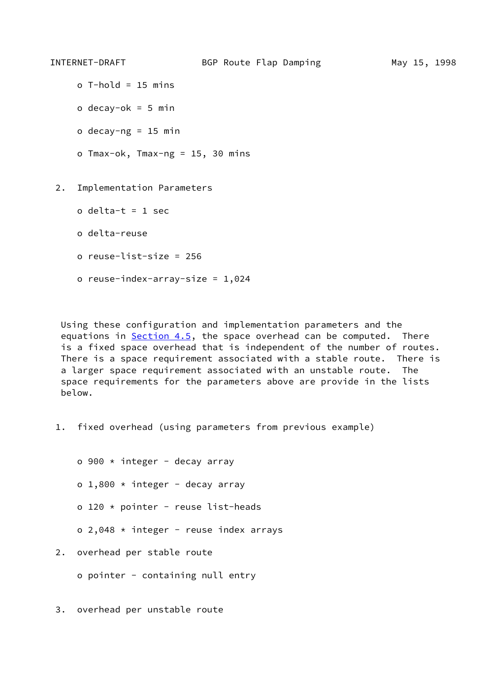- o T-hold = 15 mins
- o decay-o $k = 5$  min
- o decay-ng =  $15$  min
- o Tmax-ok, Tmax-ng = 15, 30 mins

2. Implementation Parameters

- o delta-t = 1 sec
- o delta-reuse
- o reuse-list-size = 256
- o reuse-index-array-size = 1,024

 Using these configuration and implementation parameters and the equations in [Section 4.5,](#page-19-0) the space overhead can be computed. There is a fixed space overhead that is independent of the number of routes. There is a space requirement associated with a stable route. There is a larger space requirement associated with an unstable route. The space requirements for the parameters above are provide in the lists below.

1. fixed overhead (using parameters from previous example)

o 900  $\star$  integer - decay array o  $1,800 \star \text{integer}$  - decay array o 120 \* pointer - reuse list-heads  $o$  2,048  $\star$  integer - reuse index arrays

- 2. overhead per stable route
	- o pointer containing null entry

3. overhead per unstable route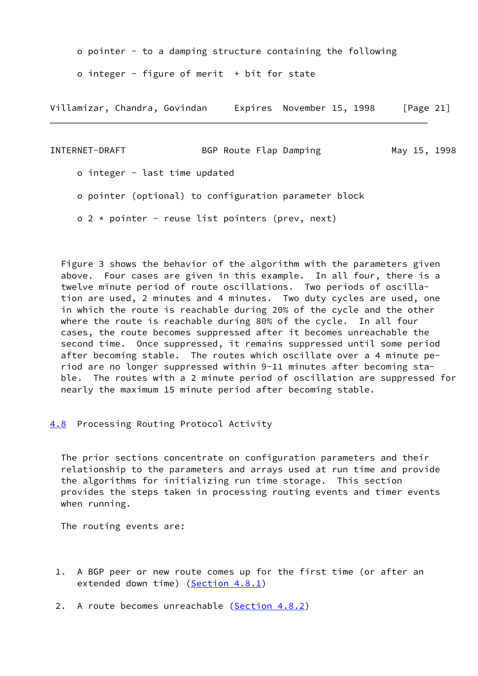o pointer - to a damping structure containing the following

o integer - figure of merit  $+$  bit for state

Villamizar, Chandra, Govindan Expires November 15, 1998 [Page 21]

INTERNET-DRAFT BGP Route Flap Damping May 15, 1998 o integer - last time updated o pointer (optional) to configuration parameter block  $o$  2  $*$  pointer - reuse list pointers (prev, next)

 Figure 3 shows the behavior of the algorithm with the parameters given above. Four cases are given in this example. In all four, there is a twelve minute period of route oscillations. Two periods of oscilla tion are used, 2 minutes and 4 minutes. Two duty cycles are used, one in which the route is reachable during 20% of the cycle and the other where the route is reachable during 80% of the cycle. In all four cases, the route becomes suppressed after it becomes unreachable the second time. Once suppressed, it remains suppressed until some period after becoming stable. The routes which oscillate over a 4 minute pe riod are no longer suppressed within 9-11 minutes after becoming sta ble. The routes with a 2 minute period of oscillation are suppressed for nearly the maximum 15 minute period after becoming stable.

<span id="page-24-0"></span>[4.8](#page-24-0) Processing Routing Protocol Activity

 The prior sections concentrate on configuration parameters and their relationship to the parameters and arrays used at run time and provide the algorithms for initializing run time storage. This section provides the steps taken in processing routing events and timer events when running.

The routing events are:

 1. A BGP peer or new route comes up for the first time (or after an extended down time) ([Section 4.8.1\)](#page-26-0)

2. A route becomes unreachable ([Section 4.8.2\)](#page-26-1)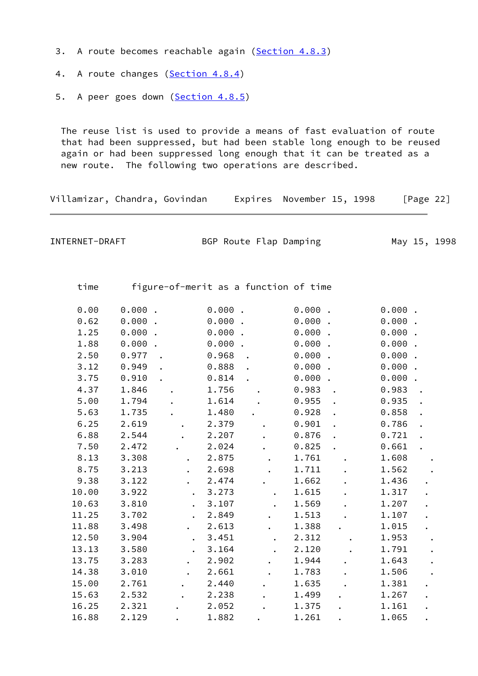- 3. A route becomes reachable again ([Section 4.8.3\)](#page-28-0)
- 4. A route changes ([Section 4.8.4\)](#page-30-0)
- 5. A peer goes down ([Section 4.8.5\)](#page-31-1)

 The reuse list is used to provide a means of fast evaluation of route that had been suppressed, but had been stable long enough to be reused again or had been suppressed long enough that it can be treated as a new route. The following two operations are described.

Villamizar, Chandra, Govindan Expires November 15, 1998 [Page 22]

INTERNET-DRAFT BGP Route Flap Damping May 15, 1998

time figure-of-merit as a function of time

| 0.00  | $0.000$ . |                  | $0.000$ . | $0.000$ . |                      | $0.000$ . |  |
|-------|-----------|------------------|-----------|-----------|----------------------|-----------|--|
| 0.62  | 0.000.    |                  | 0.000     | 0.000.    |                      | $0.000$ . |  |
| 1.25  | 0.000.    |                  | $0.000$ . | $0.000$ . |                      | 0.000.    |  |
| 1.88  | $0.000$ . |                  | $0.000$ . | $0.000$ . |                      | $0.000$ . |  |
| 2.50  | 0.977     |                  | 0.968     | $0.000$ . |                      | 0.000     |  |
| 3.12  | 0.949     |                  | 0.888     | $0.000$ . |                      | $0.000$ . |  |
| 3.75  | 0.910     |                  | 0.814     | $0.000$ . |                      | $0.000$ . |  |
| 4.37  | 1.846     |                  | 1.756     | 0.983     | $\ddot{\phantom{0}}$ | 0.983     |  |
| 5.00  | 1.794     |                  | 1.614     | 0.955     |                      | 0.935     |  |
| 5.63  | 1.735     |                  | 1.480     | 0.928     |                      | 0.858     |  |
| 6.25  | 2.619     |                  | 2.379     | 0.901     |                      | 0.786     |  |
| 6.88  | 2.544     |                  | 2.207     | 0.876     |                      | 0.721     |  |
| 7.50  | 2.472     |                  | 2.024     | 0.825     |                      | 0.661     |  |
| 8.13  | 3.308     |                  | 2.875     | 1.761     |                      | 1.608     |  |
| 8.75  | 3.213     |                  | 2.698     | 1.711     |                      | 1.562     |  |
| 9.38  | 3.122     |                  | 2.474     | 1.662     |                      | 1.436     |  |
| 10.00 | 3.922     |                  | 3.273     |           |                      |           |  |
|       |           |                  |           | 1.615     |                      | 1.317     |  |
| 10.63 | 3.810     |                  | 3.107     | 1.569     |                      | 1.207     |  |
| 11.25 | 3.702     |                  | 2.849     | 1.513     |                      | 1.107     |  |
| 11.88 | 3.498     | $\ddot{\bullet}$ | 2.613     | 1.388     |                      | 1.015     |  |
| 12.50 | 3.904     |                  | 3.451     | 2.312     |                      | 1.953     |  |
| 13.13 | 3.580     |                  | 3.164     | 2.120     |                      | 1.791     |  |
| 13.75 | 3.283     |                  | 2.902     | 1.944     |                      | 1.643     |  |
| 14.38 | 3.010     |                  | 2.661     | 1.783     |                      | 1.506     |  |
| 15.00 | 2.761     |                  | 2.440     | 1.635     |                      | 1.381     |  |
| 15.63 | 2.532     |                  | 2.238     | 1.499     |                      | 1.267     |  |
| 16.25 | 2.321     |                  | 2.052     | 1.375     |                      | 1.161     |  |
| 16.88 | 2.129     |                  | 1.882     | 1.261     |                      | 1.065     |  |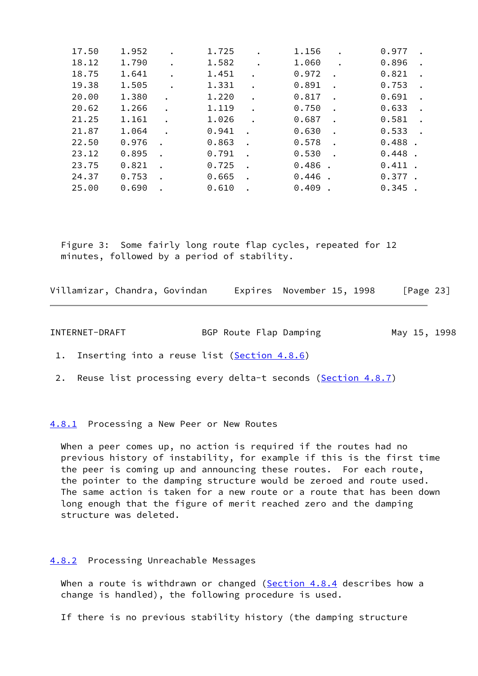| 17.50 | 1.952 | 1.725 | 1.156     | 0.977     |  |
|-------|-------|-------|-----------|-----------|--|
| 18.12 | 1.790 | 1.582 | 1.060     | 0.896     |  |
| 18.75 | 1.641 | 1.451 | 0.972     | 0.821     |  |
| 19.38 | 1.505 | 1.331 | 0.891     | 0.753     |  |
| 20.00 | 1.380 | 1.220 | 0.817     | 0.691     |  |
| 20.62 | 1,266 | 1.119 | 0.750     | 0.633     |  |
| 21.25 | 1.161 | 1.026 | 0.687     | 0.581     |  |
| 21.87 | 1.064 | 0.941 | 0.630     | 0.533     |  |
| 22.50 | 0.976 | 0.863 | 0.578     | 0.488     |  |
| 23.12 | 0.895 | 0.791 | 0.530     | 0.448     |  |
| 23.75 | 0.821 | 0.725 | $0.486$ . | $0.411$ . |  |
| 24.37 | 0.753 | 0.665 | $0.446$ . | $0.377$ . |  |
| 25.00 | 0.690 | 0.610 | 0.409     | $0.345$ . |  |

 Figure 3: Some fairly long route flap cycles, repeated for 12 minutes, followed by a period of stability.

| Villamizar, Chandra, Govindan |  |  | Expires November 15, 1998 |  |  | [Page 23] |
|-------------------------------|--|--|---------------------------|--|--|-----------|
|-------------------------------|--|--|---------------------------|--|--|-----------|

INTERNET-DRAFT BGP Route Flap Damping May 15, 1998

1. Inserting into a reuse list ([Section 4.8.6\)](#page-31-0)

2. Reuse list processing every delta-t seconds ([Section 4.8.7\)](#page-32-0)

<span id="page-26-0"></span>[4.8.1](#page-26-0) Processing a New Peer or New Routes

 When a peer comes up, no action is required if the routes had no previous history of instability, for example if this is the first time the peer is coming up and announcing these routes. For each route, the pointer to the damping structure would be zeroed and route used. The same action is taken for a new route or a route that has been down long enough that the figure of merit reached zero and the damping structure was deleted.

## <span id="page-26-1"></span>[4.8.2](#page-26-1) Processing Unreachable Messages

When a route is withdrawn or changed [\(Section 4.8.4](#page-30-0) describes how a change is handled), the following procedure is used.

If there is no previous stability history (the damping structure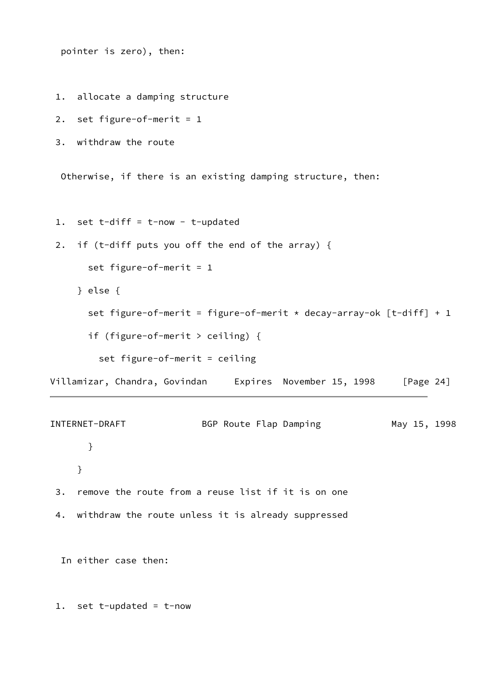pointer is zero), then:

1. allocate a damping structure

2. set figure-of-merit =  $1$ 

```
 3. withdraw the route
```
Otherwise, if there is an existing damping structure, then:

- 1. set t-diff = t-now t-updated
- 2. if (t-diff puts you off the end of the array) {

```
 set figure-of-merit = 1
```
} else {

```
set figure-of-merit = figure-of-merit * decay-array-ok [t-diff] + 1
```
if (figure-of-merit > ceiling) {

set figure-of-merit = ceiling

Villamizar, Chandra, Govindan Expires November 15, 1998 [Page 24]

INTERNET-DRAFT BGP Route Flap Damping May 15, 1998 } }

- 3. remove the route from a reuse list if it is on one
- 4. withdraw the route unless it is already suppressed

In either case then:

1. set t-updated = t-now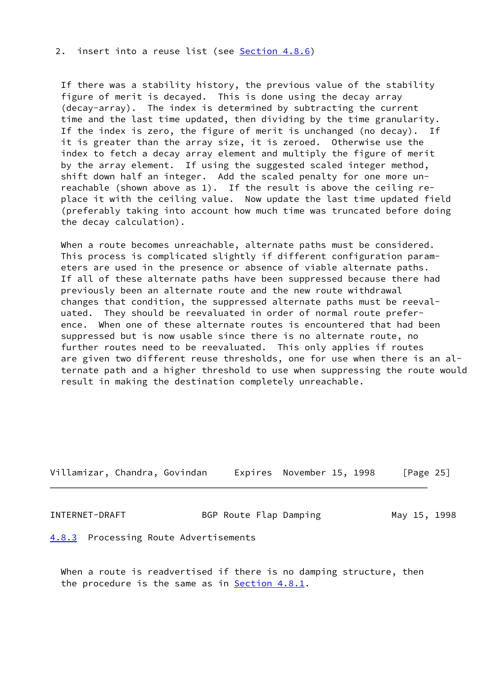## 2. insert into a reuse list (see [Section 4.8.6](#page-31-0))

 If there was a stability history, the previous value of the stability figure of merit is decayed. This is done using the decay array (decay-array). The index is determined by subtracting the current time and the last time updated, then dividing by the time granularity. If the index is zero, the figure of merit is unchanged (no decay). If it is greater than the array size, it is zeroed. Otherwise use the index to fetch a decay array element and multiply the figure of merit by the array element. If using the suggested scaled integer method, shift down half an integer. Add the scaled penalty for one more un reachable (shown above as 1). If the result is above the ceiling re place it with the ceiling value. Now update the last time updated field (preferably taking into account how much time was truncated before doing the decay calculation).

 When a route becomes unreachable, alternate paths must be considered. This process is complicated slightly if different configuration param eters are used in the presence or absence of viable alternate paths. If all of these alternate paths have been suppressed because there had previously been an alternate route and the new route withdrawal changes that condition, the suppressed alternate paths must be reeval uated. They should be reevaluated in order of normal route prefer ence. When one of these alternate routes is encountered that had been suppressed but is now usable since there is no alternate route, no further routes need to be reevaluated. This only applies if routes are given two different reuse thresholds, one for use when there is an al ternate path and a higher threshold to use when suppressing the route would result in making the destination completely unreachable.

| Villamizar, Chandra, Govindan |  |  | Expires November 15, 1998 |  | [Page 25] |
|-------------------------------|--|--|---------------------------|--|-----------|
|-------------------------------|--|--|---------------------------|--|-----------|

INTERNET-DRAFT BGP Route Flap Damping May 15, 1998

<span id="page-28-0"></span>[4.8.3](#page-28-0) Processing Route Advertisements

 When a route is readvertised if there is no damping structure, then the procedure is the same as in **Section 4.8.1**.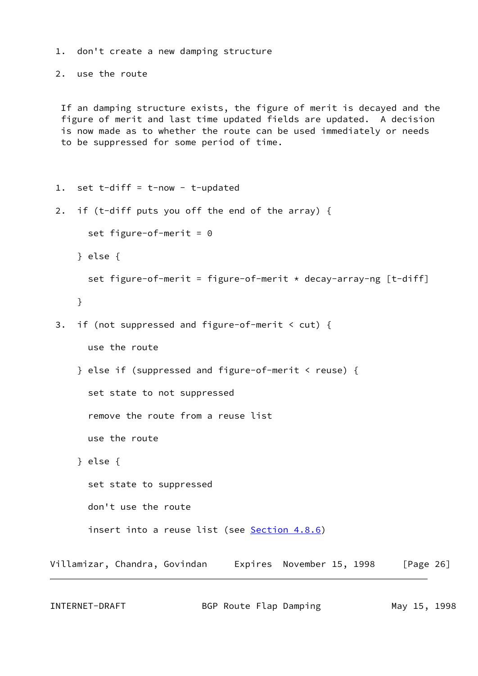```
 1. don't create a new damping structure
  2. use the route
  If an damping structure exists, the figure of merit is decayed and the
  figure of merit and last time updated fields are updated. A decision
  is now made as to whether the route can be used immediately or needs
  to be suppressed for some period of time.
  1. set t-diff = t-now - t-updated
  2. if (t-diff puts you off the end of the array) {
      set figure-of-merit = 0 } else {
      set figure-of-merit = figure-of-merit * decay-array-ng [t-diff]
     }
  3. if (not suppressed and figure-of-merit < cut) {
       use the route
     } else if (suppressed and figure-of-merit < reuse) {
       set state to not suppressed
       remove the route from a reuse list
       use the route
     } else {
       set state to suppressed
       don't use the route
       Section 4.8.6)
Villamizar, Chandra, Govindan  Expires November 15, 1998 [Page 26]
```
INTERNET-DRAFT 6 BGP Route Flap Damping 6 May 15, 1998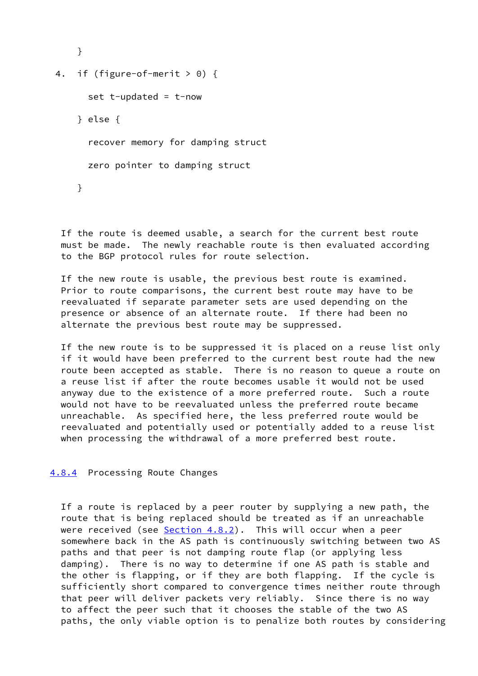```
 }
4. if (figure-of-merit > 0) {
      set t-updated = t-now
     } else {
       recover memory for damping struct
       zero pointer to damping struct
     }
```
 If the route is deemed usable, a search for the current best route must be made. The newly reachable route is then evaluated according to the BGP protocol rules for route selection.

 If the new route is usable, the previous best route is examined. Prior to route comparisons, the current best route may have to be reevaluated if separate parameter sets are used depending on the presence or absence of an alternate route. If there had been no alternate the previous best route may be suppressed.

 If the new route is to be suppressed it is placed on a reuse list only if it would have been preferred to the current best route had the new route been accepted as stable. There is no reason to queue a route on a reuse list if after the route becomes usable it would not be used anyway due to the existence of a more preferred route. Such a route would not have to be reevaluated unless the preferred route became unreachable. As specified here, the less preferred route would be reevaluated and potentially used or potentially added to a reuse list when processing the withdrawal of a more preferred best route.

#### <span id="page-30-0"></span>[4.8.4](#page-30-0) Processing Route Changes

 If a route is replaced by a peer router by supplying a new path, the route that is being replaced should be treated as if an unreachable were received (see Section  $4.8.2$ ). This will occur when a peer somewhere back in the AS path is continuously switching between two AS paths and that peer is not damping route flap (or applying less damping). There is no way to determine if one AS path is stable and the other is flapping, or if they are both flapping. If the cycle is sufficiently short compared to convergence times neither route through that peer will deliver packets very reliably. Since there is no way to affect the peer such that it chooses the stable of the two AS paths, the only viable option is to penalize both routes by considering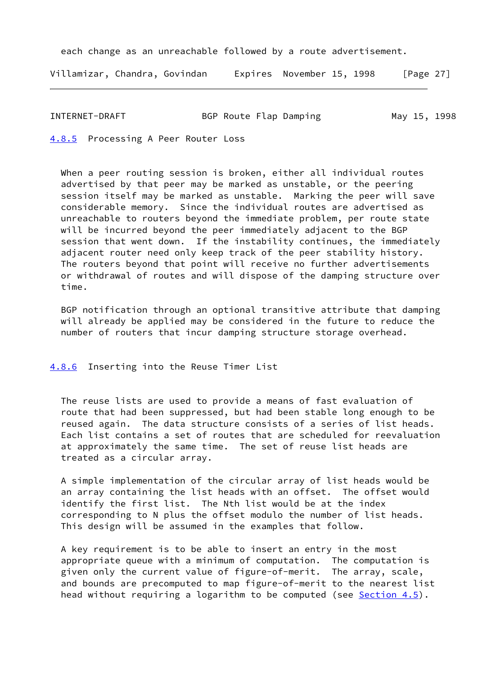each change as an unreachable followed by a route advertisement.

Villamizar, Chandra, Govindan Expires November 15, 1998 [Page 27]

INTERNET-DRAFT BGP Route Flap Damping May 15, 1998

<span id="page-31-1"></span>[4.8.5](#page-31-1) Processing A Peer Router Loss

 When a peer routing session is broken, either all individual routes advertised by that peer may be marked as unstable, or the peering session itself may be marked as unstable. Marking the peer will save considerable memory. Since the individual routes are advertised as unreachable to routers beyond the immediate problem, per route state will be incurred beyond the peer immediately adjacent to the BGP session that went down. If the instability continues, the immediately adjacent router need only keep track of the peer stability history. The routers beyond that point will receive no further advertisements or withdrawal of routes and will dispose of the damping structure over time.

 BGP notification through an optional transitive attribute that damping will already be applied may be considered in the future to reduce the number of routers that incur damping structure storage overhead.

#### <span id="page-31-0"></span>[4.8.6](#page-31-0) Inserting into the Reuse Timer List

 The reuse lists are used to provide a means of fast evaluation of route that had been suppressed, but had been stable long enough to be reused again. The data structure consists of a series of list heads. Each list contains a set of routes that are scheduled for reevaluation at approximately the same time. The set of reuse list heads are treated as a circular array.

 A simple implementation of the circular array of list heads would be an array containing the list heads with an offset. The offset would identify the first list. The Nth list would be at the index corresponding to N plus the offset modulo the number of list heads. This design will be assumed in the examples that follow.

 A key requirement is to be able to insert an entry in the most appropriate queue with a minimum of computation. The computation is given only the current value of figure-of-merit. The array, scale, and bounds are precomputed to map figure-of-merit to the nearest list head without requiring a logarithm to be computed (see [Section 4.5](#page-19-0)).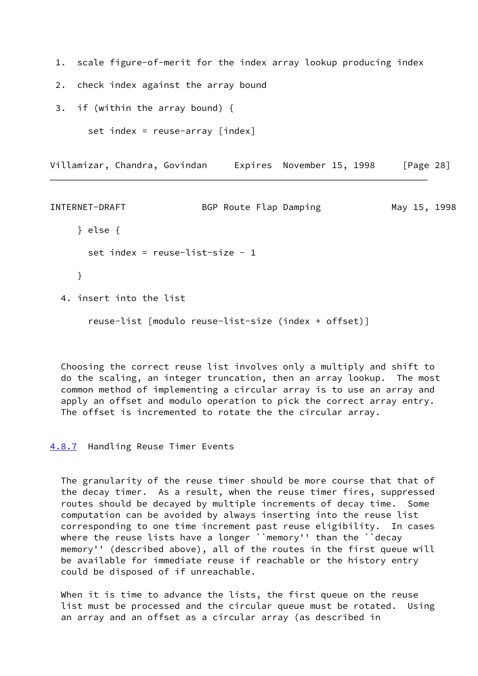- 1. scale figure-of-merit for the index array lookup producing index
- 2. check index against the array bound
- 3. if (within the array bound) {

```
 set index = reuse-array [index]
```
Villamizar, Chandra, Govindan Expires November 15, 1998 [Page 28]

```
INTERNET-DRAFT BGP Route Flap Damping May 15, 1998
     } else {
      set index = reuse-list-size - 1 }
  4. insert into the list
       reuse-list [modulo reuse-list-size (index + offset)]
```
 Choosing the correct reuse list involves only a multiply and shift to do the scaling, an integer truncation, then an array lookup. The most common method of implementing a circular array is to use an array and apply an offset and modulo operation to pick the correct array entry. The offset is incremented to rotate the the circular array.

<span id="page-32-0"></span>[4.8.7](#page-32-0) Handling Reuse Timer Events

 The granularity of the reuse timer should be more course that that of the decay timer. As a result, when the reuse timer fires, suppressed routes should be decayed by multiple increments of decay time. Some computation can be avoided by always inserting into the reuse list corresponding to one time increment past reuse eligibility. In cases where the reuse lists have a longer ``memory'' than the ``decay memory'' (described above), all of the routes in the first queue will be available for immediate reuse if reachable or the history entry could be disposed of if unreachable.

When it is time to advance the lists, the first queue on the reuse list must be processed and the circular queue must be rotated. Using an array and an offset as a circular array (as described in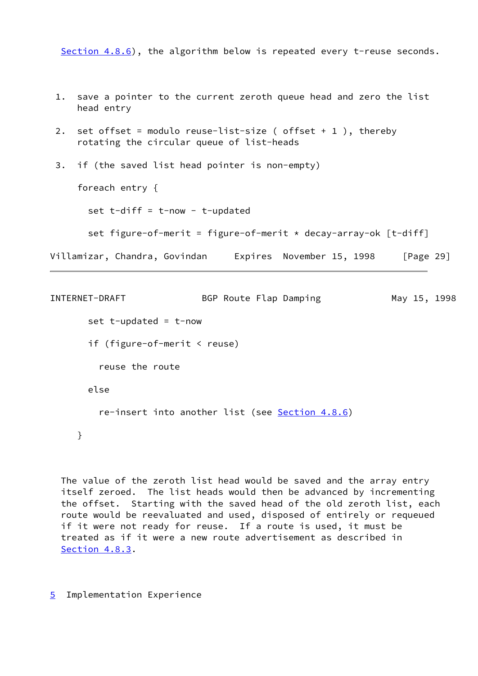[Section 4.8.6\)](#page-31-0), the algorithm below is repeated every t-reuse seconds.

 1. save a pointer to the current zeroth queue head and zero the list head entry 2. set offset = modulo reuse-list-size (  $offset + 1$  ), thereby rotating the circular queue of list-heads 3. if (the saved list head pointer is non-empty) foreach entry { set  $t$ -diff =  $t$ -now -  $t$ -updated set figure-of-merit = figure-of-merit  $*$  decay-array-ok [t-diff] Villamizar, Chandra, Govindan Expires November 15, 1998 [Page 29]

```
INTERNET-DRAFT BGP Route Flap Damping May 15, 1998
      set t-updated = t-now
       if (figure-of-merit < reuse)
         reuse the route
       else
         re-insert into another list (see Section 4.8.6)
     }
```
 The value of the zeroth list head would be saved and the array entry itself zeroed. The list heads would then be advanced by incrementing the offset. Starting with the saved head of the old zeroth list, each route would be reevaluated and used, disposed of entirely or requeued if it were not ready for reuse. If a route is used, it must be treated as if it were a new route advertisement as described in [Section 4.8.3.](#page-28-0)

<span id="page-33-0"></span>[5](#page-33-0) Implementation Experience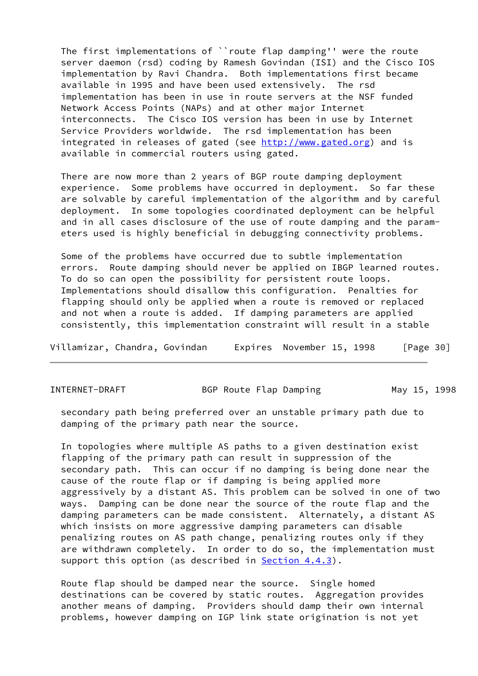The first implementations of ``route flap damping'' were the route server daemon (rsd) coding by Ramesh Govindan (ISI) and the Cisco IOS implementation by Ravi Chandra. Both implementations first became available in 1995 and have been used extensively. The rsd implementation has been in use in route servers at the NSF funded Network Access Points (NAPs) and at other major Internet interconnects. The Cisco IOS version has been in use by Internet Service Providers worldwide. The rsd implementation has been integrated in releases of gated (see [http://www.gated.org\)](http://www.gated.org) and is available in commercial routers using gated.

 There are now more than 2 years of BGP route damping deployment experience. Some problems have occurred in deployment. So far these are solvable by careful implementation of the algorithm and by careful deployment. In some topologies coordinated deployment can be helpful and in all cases disclosure of the use of route damping and the param eters used is highly beneficial in debugging connectivity problems.

 Some of the problems have occurred due to subtle implementation errors. Route damping should never be applied on IBGP learned routes. To do so can open the possibility for persistent route loops. Implementations should disallow this configuration. Penalties for flapping should only be applied when a route is removed or replaced and not when a route is added. If damping parameters are applied consistently, this implementation constraint will result in a stable

Villamizar, Chandra, Govindan Expires November 15, 1998 [Page 30]

INTERNET-DRAFT BGP Route Flap Damping May 15, 1998

 secondary path being preferred over an unstable primary path due to damping of the primary path near the source.

 In topologies where multiple AS paths to a given destination exist flapping of the primary path can result in suppression of the secondary path. This can occur if no damping is being done near the cause of the route flap or if damping is being applied more aggressively by a distant AS. This problem can be solved in one of two ways. Damping can be done near the source of the route flap and the damping parameters can be made consistent. Alternately, a distant AS which insists on more aggressive damping parameters can disable penalizing routes on AS path change, penalizing routes only if they are withdrawn completely. In order to do so, the implementation must support this option (as described in [Section 4.4.3\)](#page-16-1).

 Route flap should be damped near the source. Single homed destinations can be covered by static routes. Aggregation provides another means of damping. Providers should damp their own internal problems, however damping on IGP link state origination is not yet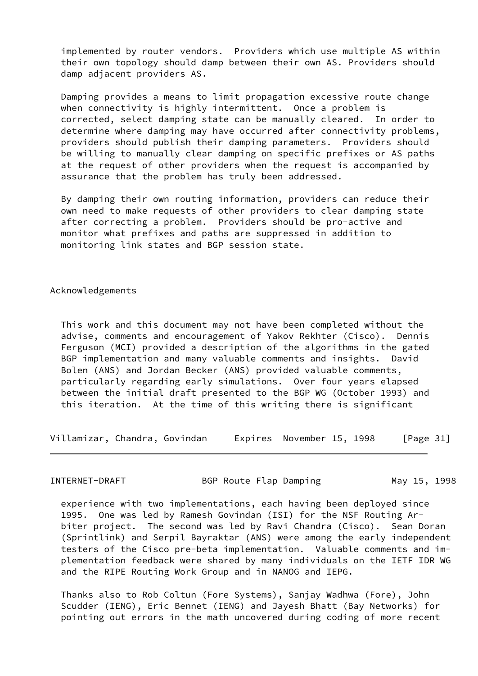implemented by router vendors. Providers which use multiple AS within their own topology should damp between their own AS. Providers should damp adjacent providers AS.

 Damping provides a means to limit propagation excessive route change when connectivity is highly intermittent. Once a problem is corrected, select damping state can be manually cleared. In order to determine where damping may have occurred after connectivity problems, providers should publish their damping parameters. Providers should be willing to manually clear damping on specific prefixes or AS paths at the request of other providers when the request is accompanied by assurance that the problem has truly been addressed.

 By damping their own routing information, providers can reduce their own need to make requests of other providers to clear damping state after correcting a problem. Providers should be pro-active and monitor what prefixes and paths are suppressed in addition to monitoring link states and BGP session state.

Acknowledgements

 This work and this document may not have been completed without the advise, comments and encouragement of Yakov Rekhter (Cisco). Dennis Ferguson (MCI) provided a description of the algorithms in the gated BGP implementation and many valuable comments and insights. David Bolen (ANS) and Jordan Becker (ANS) provided valuable comments, particularly regarding early simulations. Over four years elapsed between the initial draft presented to the BGP WG (October 1993) and this iteration. At the time of this writing there is significant

Villamizar, Chandra, Govindan Expires November 15, 1998 [Page 31]

INTERNET-DRAFT BGP Route Flap Damping May 15, 1998

 experience with two implementations, each having been deployed since 1995. One was led by Ramesh Govindan (ISI) for the NSF Routing Ar biter project. The second was led by Ravi Chandra (Cisco). Sean Doran (Sprintlink) and Serpil Bayraktar (ANS) were among the early independent testers of the Cisco pre-beta implementation. Valuable comments and im plementation feedback were shared by many individuals on the IETF IDR WG and the RIPE Routing Work Group and in NANOG and IEPG.

 Thanks also to Rob Coltun (Fore Systems), Sanjay Wadhwa (Fore), John Scudder (IENG), Eric Bennet (IENG) and Jayesh Bhatt (Bay Networks) for pointing out errors in the math uncovered during coding of more recent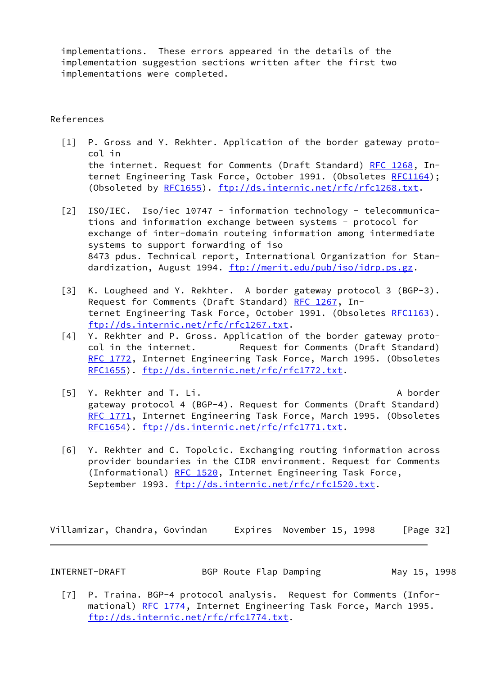implementations. These errors appeared in the details of the implementation suggestion sections written after the first two implementations were completed.

# References

- <span id="page-36-0"></span> [1] P. Gross and Y. Rekhter. Application of the border gateway proto col in the internet. Request for Comments (Draft Standard) [RFC 1268](https://datatracker.ietf.org/doc/pdf/rfc1268), In-ternet Engineering Task Force, October 1991. (Obsoletes [RFC1164\)](https://datatracker.ietf.org/doc/pdf/rfc1164); (Obsoleted by [RFC1655](https://datatracker.ietf.org/doc/pdf/rfc1655)). [ftp://ds.internic.net/rfc/rfc1268.txt.](ftp://ds.internic.net/rfc/rfc1268.txt)
- [2] ISO/IEC. Iso/iec 10747 information technology telecommunica tions and information exchange between systems - protocol for exchange of inter-domain routeing information among intermediate systems to support forwarding of iso 8473 pdus. Technical report, International Organization for Stan dardization, August 1994. [ftp://merit.edu/pub/iso/idrp.ps.gz.](ftp://merit.edu/pub/iso/idrp.ps.gz)
- [3] K. Lougheed and Y. Rekhter. A border gateway protocol 3 (BGP-3). Request for Comments (Draft Standard) [RFC 1267](https://datatracker.ietf.org/doc/pdf/rfc1267), In-ternet Engineering Task Force, October 1991. (Obsoletes [RFC1163\)](https://datatracker.ietf.org/doc/pdf/rfc1163). [ftp://ds.internic.net/rfc/rfc1267.txt.](ftp://ds.internic.net/rfc/rfc1267.txt)
- [4] Y. Rekhter and P. Gross. Application of the border gateway proto col in the internet. Request for Comments (Draft Standard) [RFC 1772,](https://datatracker.ietf.org/doc/pdf/rfc1772) Internet Engineering Task Force, March 1995. (Obsoletes [RFC1655\)](https://datatracker.ietf.org/doc/pdf/rfc1655). [ftp://ds.internic.net/rfc/rfc1772.txt.](ftp://ds.internic.net/rfc/rfc1772.txt)
- <span id="page-36-1"></span> [5] Y. Rekhter and T. Li. A border gateway protocol 4 (BGP-4). Request for Comments (Draft Standard) [RFC 1771,](https://datatracker.ietf.org/doc/pdf/rfc1771) Internet Engineering Task Force, March 1995. (Obsoletes [RFC1654\)](https://datatracker.ietf.org/doc/pdf/rfc1654). [ftp://ds.internic.net/rfc/rfc1771.txt.](ftp://ds.internic.net/rfc/rfc1771.txt)
- [6] Y. Rekhter and C. Topolcic. Exchanging routing information across provider boundaries in the CIDR environment. Request for Comments (Informational) [RFC 1520,](https://datatracker.ietf.org/doc/pdf/rfc1520) Internet Engineering Task Force, September 1993. [ftp://ds.internic.net/rfc/rfc1520.txt.](ftp://ds.internic.net/rfc/rfc1520.txt)

Villamizar, Chandra, Govindan Expires November 15, 1998 [Page 32]

INTERNET-DRAFT BGP Route Flap Damping May 15, 1998

 [7] P. Traina. BGP-4 protocol analysis. Request for Comments (Infor- mational) [RFC 1774](https://datatracker.ietf.org/doc/pdf/rfc1774), Internet Engineering Task Force, March 1995. [ftp://ds.internic.net/rfc/rfc1774.txt.](ftp://ds.internic.net/rfc/rfc1774.txt)